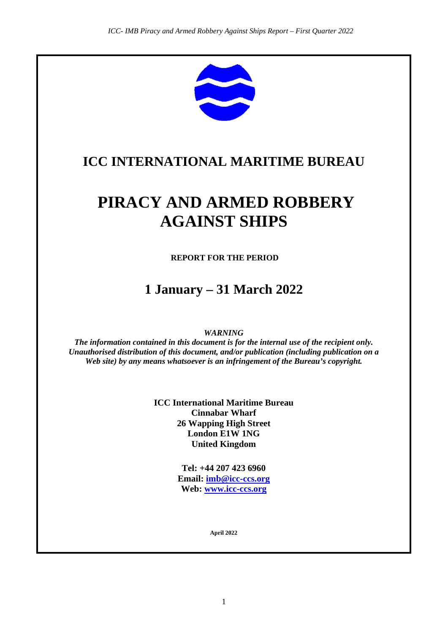

## **ICC INTERNATIONAL MARITIME BUREAU**

# **PIRACY AND ARMED ROBBERY AGAINST SHIPS**

**REPORT FOR THE PERIOD**

## **1 January – 31 March 2022**

*WARNING*

*The information contained in this document is for the internal use of the recipient only. Unauthorised distribution of this document, and/or publication (including publication on a Web site) by any means whatsoever is an infringement of the Bureau's copyright.*

> **ICC International Maritime Bureau Cinnabar Wharf 26 Wapping High Street London E1W 1NG United Kingdom**

> > **Tel: +44 207 423 6960 Email: [imb@icc-ccs.org](mailto:imb@icc-ccs.org) Web: [www.icc-ccs.org](http://www.icc-ccs.org/)**

> > > **April 2022**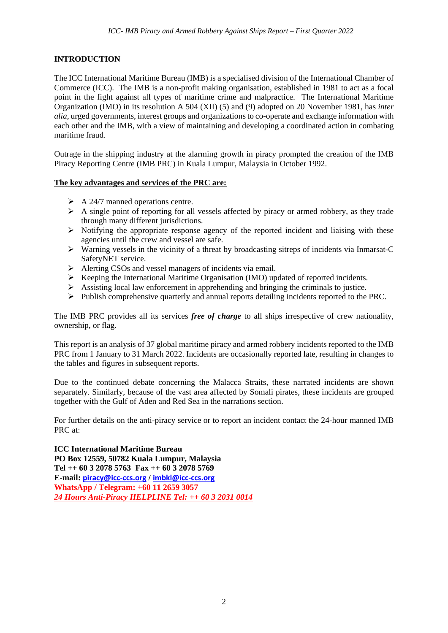#### **INTRODUCTION**

The ICC International Maritime Bureau (IMB) is a specialised division of the International Chamber of Commerce (ICC). The IMB is a non-profit making organisation, established in 1981 to act as a focal point in the fight against all types of maritime crime and malpractice. The International Maritime Organization (IMO) in its resolution A 504 (XII) (5) and (9) adopted on 20 November 1981, has *inter alia*, urged governments, interest groups and organizations to co-operate and exchange information with each other and the IMB, with a view of maintaining and developing a coordinated action in combating maritime fraud.

Outrage in the shipping industry at the alarming growth in piracy prompted the creation of the IMB Piracy Reporting Centre (IMB PRC) in Kuala Lumpur, Malaysia in October 1992.

#### **The key advantages and services of the PRC are:**

- $\triangleright$  A 24/7 manned operations centre.
- $\triangleright$  A single point of reporting for all vessels affected by piracy or armed robbery, as they trade through many different jurisdictions.
- $\triangleright$  Notifying the appropriate response agency of the reported incident and liaising with these agencies until the crew and vessel are safe.
- $\triangleright$  Warning vessels in the vicinity of a threat by broadcasting sitreps of incidents via Inmarsat-C SafetyNET service.
- Alerting CSOs and vessel managers of incidents via email.
- $\triangleright$  Keeping the International Maritime Organisation (IMO) updated of reported incidents.
- $\triangleright$  Assisting local law enforcement in apprehending and bringing the criminals to justice.
- Publish comprehensive quarterly and annual reports detailing incidents reported to the PRC.

The IMB PRC provides all its services *free of charge* to all ships irrespective of crew nationality, ownership, or flag.

This report is an analysis of 37 global maritime piracy and armed robbery incidents reported to the IMB PRC from 1 January to 31 March 2022. Incidents are occasionally reported late, resulting in changes to the tables and figures in subsequent reports.

Due to the continued debate concerning the Malacca Straits, these narrated incidents are shown separately. Similarly, because of the vast area affected by Somali pirates, these incidents are grouped together with the Gulf of Aden and Red Sea in the narrations section.

For further details on the anti-piracy service or to report an incident contact the 24-hour manned IMB PRC at:

**ICC International Maritime Bureau PO Box 12559, 50782 Kuala Lumpur, Malaysia Tel ++ 60 3 2078 5763 Fax ++ 60 3 2078 5769 E-mail: [piracy@icc-ccs.org](mailto:piracy@icc-ccs.org) / [imbkl@icc-ccs.org](mailto:imbkl@icc-ccs.org) WhatsApp / Telegram: +60 11 2659 3057** *24 Hours Anti-Piracy HELPLINE Tel: ++ 60 3 2031 0014*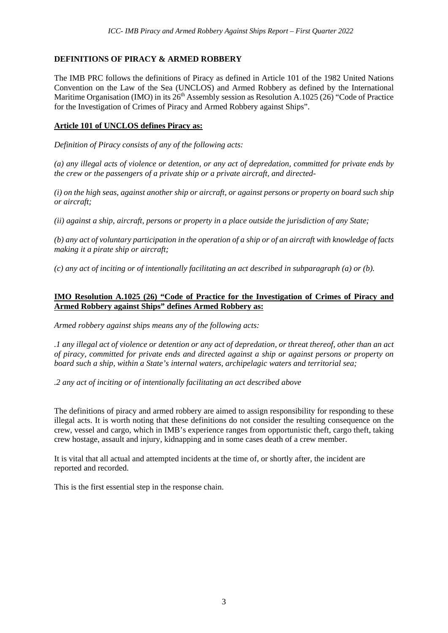#### **DEFINITIONS OF PIRACY & ARMED ROBBERY**

The IMB PRC follows the definitions of Piracy as defined in Article 101 of the 1982 United Nations Convention on the Law of the Sea (UNCLOS) and Armed Robbery as defined by the International Maritime Organisation (IMO) in its  $26<sup>th</sup>$  Assembly session as Resolution A.1025 (26) "Code of Practice for the Investigation of Crimes of Piracy and Armed Robbery against Ships".

#### **Article 101 of UNCLOS defines Piracy as:**

*Definition of Piracy consists of any of the following acts:* 

*(a) any illegal acts of violence or detention, or any act of depredation, committed for private ends by the crew or the passengers of a private ship or a private aircraft, and directed-*

*(i) on the high seas, against another ship or aircraft, or against persons or property on board such ship or aircraft;* 

*(ii) against a ship, aircraft, persons or property in a place outside the jurisdiction of any State;*

*(b) any act of voluntary participation in the operation of a ship or of an aircraft with knowledge of facts making it a pirate ship or aircraft;*

*(c) any act of inciting or of intentionally facilitating an act described in subparagraph (a) or (b).*

#### **IMO Resolution A.1025 (26) "Code of Practice for the Investigation of Crimes of Piracy and Armed Robbery against Ships" defines Armed Robbery as:**

*Armed robbery against ships means any of the following acts:*

*.1 any illegal act of violence or detention or any act of depredation, or threat thereof, other than an act of piracy, committed for private ends and directed against a ship or against persons or property on board such a ship, within a State's internal waters, archipelagic waters and territorial sea;*

*.2 any act of inciting or of intentionally facilitating an act described above*

The definitions of piracy and armed robbery are aimed to assign responsibility for responding to these illegal acts. It is worth noting that these definitions do not consider the resulting consequence on the crew, vessel and cargo, which in IMB's experience ranges from opportunistic theft, cargo theft, taking crew hostage, assault and injury, kidnapping and in some cases death of a crew member.

It is vital that all actual and attempted incidents at the time of, or shortly after, the incident are reported and recorded.

This is the first essential step in the response chain.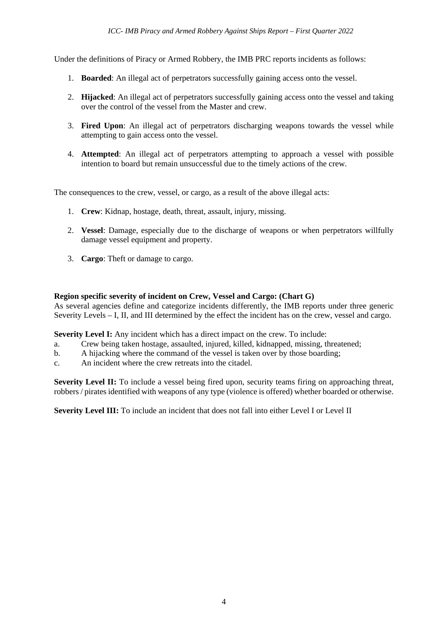Under the definitions of Piracy or Armed Robbery, the IMB PRC reports incidents as follows:

- 1. **Boarded**: An illegal act of perpetrators successfully gaining access onto the vessel.
- 2. **Hijacked**: An illegal act of perpetrators successfully gaining access onto the vessel and taking over the control of the vessel from the Master and crew.
- 3. **Fired Upon**: An illegal act of perpetrators discharging weapons towards the vessel while attempting to gain access onto the vessel.
- 4. **Attempted**: An illegal act of perpetrators attempting to approach a vessel with possible intention to board but remain unsuccessful due to the timely actions of the crew.

The consequences to the crew, vessel, or cargo, as a result of the above illegal acts:

- 1. **Crew**: Kidnap, hostage, death, threat, assault, injury, missing.
- 2. **Vessel**: Damage, especially due to the discharge of weapons or when perpetrators willfully damage vessel equipment and property.
- 3. **Cargo**: Theft or damage to cargo.

#### **Region specific severity of incident on Crew, Vessel and Cargo: (Chart G)**

As several agencies define and categorize incidents differently, the IMB reports under three generic Severity Levels – I, II, and III determined by the effect the incident has on the crew, vessel and cargo.

**Severity Level I:** Any incident which has a direct impact on the crew. To include:

- a. Crew being taken hostage, assaulted, injured, killed, kidnapped, missing, threatened;
- b. A hijacking where the command of the vessel is taken over by those boarding;
- c. An incident where the crew retreats into the citadel.

**Severity Level II:** To include a vessel being fired upon, security teams firing on approaching threat, robbers / pirates identified with weapons of any type (violence is offered) whether boarded or otherwise.

Severity Level III: To include an incident that does not fall into either Level I or Level II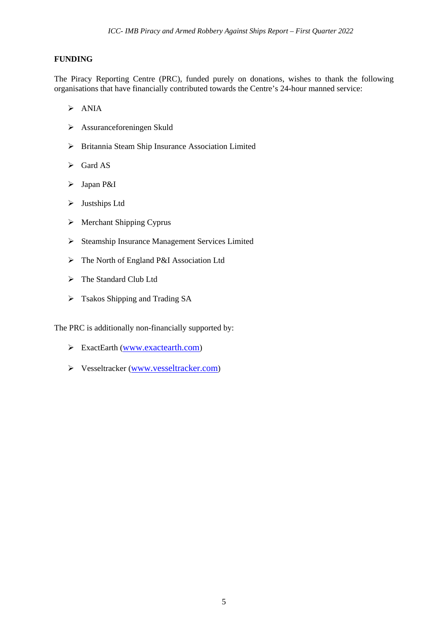#### **FUNDING**

The Piracy Reporting Centre (PRC), funded purely on donations, wishes to thank the following organisations that have financially contributed towards the Centre's 24-hour manned service:

- $\triangleright$  ANIA
- Assuranceforeningen Skuld
- Britannia Steam Ship Insurance Association Limited
- $\triangleright$  Gard AS
- > Japan P&I
- > Justships Ltd
- $\triangleright$  Merchant Shipping Cyprus
- Steamship Insurance Management Services Limited
- The North of England P&I Association Ltd
- > The Standard Club Ltd
- Tsakos Shipping and Trading SA

The PRC is additionally non-financially supported by:

- ExactEarth [\(www.exactearth.com\)](http://www.exactearth.com/)
- Vesseltracker [\(www.vesseltracker.com\)](http://www.vesseltracker.com/)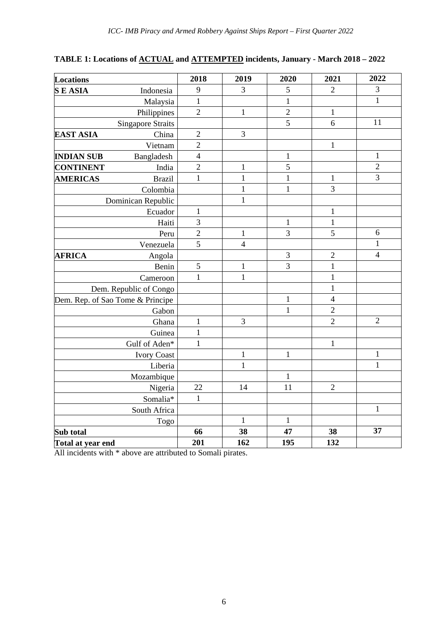|  | TABLE 1: Locations of ACTUAL and ATTEMPTED incidents, January - March 2018 – 2022 |  |
|--|-----------------------------------------------------------------------------------|--|
|  |                                                                                   |  |

| <b>Locations</b>                 | 2018           | 2019           | 2020           | 2021                    | 2022           |
|----------------------------------|----------------|----------------|----------------|-------------------------|----------------|
| <b>SEASIA</b><br>Indonesia       | 9              | $\overline{3}$ | 5              | $\overline{2}$          | $\mathfrak{Z}$ |
| Malaysia                         | $\mathbf{1}$   |                | $\mathbf{1}$   |                         | $\mathbf{1}$   |
| Philippines                      | $\overline{2}$ | $\mathbf{1}$   | $\overline{c}$ | $\mathbf{1}$            |                |
| <b>Singapore Straits</b>         |                |                | $\overline{5}$ | 6                       | 11             |
| China<br><b>EAST ASIA</b>        | $\sqrt{2}$     | 3              |                |                         |                |
| Vietnam                          | $\overline{2}$ |                |                | $\mathbf{1}$            |                |
| <b>INDIAN SUB</b><br>Bangladesh  | $\overline{4}$ |                | $\,1$          |                         | $\mathbf 1$    |
| India<br><b>CONTINENT</b>        | $\overline{2}$ | $\mathbf{1}$   | 5              |                         | $\sqrt{2}$     |
| <b>AMERICAS</b><br><b>Brazil</b> | $\mathbf{1}$   | $\mathbf{1}$   | $\mathbf{1}$   | $\mathbf{1}$            | $\overline{3}$ |
| Colombia                         |                | $\mathbf{1}$   | $\mathbf{1}$   | 3                       |                |
| Dominican Republic               |                | $\mathbf{1}$   |                |                         |                |
| Ecuador                          | $\mathbf{1}$   |                |                | $\,1$                   |                |
| Haiti                            | 3              |                | $\mathbf{1}$   | $\mathbf{1}$            |                |
| Peru                             | $\overline{2}$ | $\mathbf{1}$   | 3              | 5                       | 6              |
| Venezuela                        | 5              | $\overline{4}$ |                |                         | $\mathbf 1$    |
| <b>AFRICA</b><br>Angola          |                |                | $\sqrt{3}$     | $\overline{c}$          | $\overline{4}$ |
| Benin                            | 5              | $\mathbf 1$    | $\overline{3}$ | $\mathbf{1}$            |                |
| Cameroon                         | $\mathbf{1}$   | $\mathbf{1}$   |                | $\mathbf 1$             |                |
| Dem. Republic of Congo           |                |                |                | $\mathbf{1}$            |                |
| Dem. Rep. of Sao Tome & Principe |                |                | $\mathbf 1$    | $\overline{\mathbf{4}}$ |                |
| Gabon                            |                |                | $\mathbf 1$    | $\overline{2}$          |                |
| Ghana                            | $\mathbf{1}$   | 3              |                | $\overline{2}$          | $\sqrt{2}$     |
| Guinea                           | $\mathbf{1}$   |                |                |                         |                |
| Gulf of Aden*                    | $\mathbf{1}$   |                |                | $\mathbf{1}$            |                |
| <b>Ivory Coast</b>               |                | $\mathbf{1}$   | $\mathbf{1}$   |                         | $\mathbf 1$    |
| Liberia                          |                | $\mathbf{1}$   |                |                         | $\mathbf{1}$   |
| Mozambique                       |                |                | $\mathbf{1}$   |                         |                |
| Nigeria                          | 22             | 14             | 11             | $\overline{2}$          |                |
| Somalia*                         | $\mathbf{1}$   |                |                |                         |                |
| South Africa                     |                |                |                |                         | $\mathbf{1}$   |
| Togo                             |                | $\mathbf{1}$   | $\mathbf{1}$   |                         |                |
| Sub total                        | 66             | 38             | 47             | 38                      | 37             |
| Total at year end                | 201            | 162            | 195            | 132                     |                |

All incidents with  $*$  above are attributed to Somali pirates.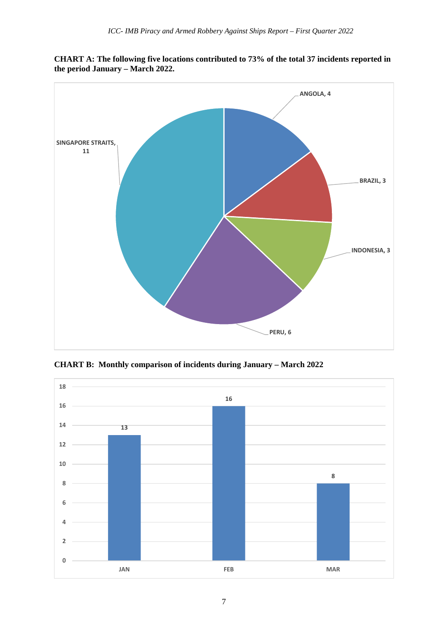

**CHART A: The following five locations contributed to 73% of the total 37 incidents reported in the period January – March 2022.**

**CHART B: Monthly comparison of incidents during January – March 2022**

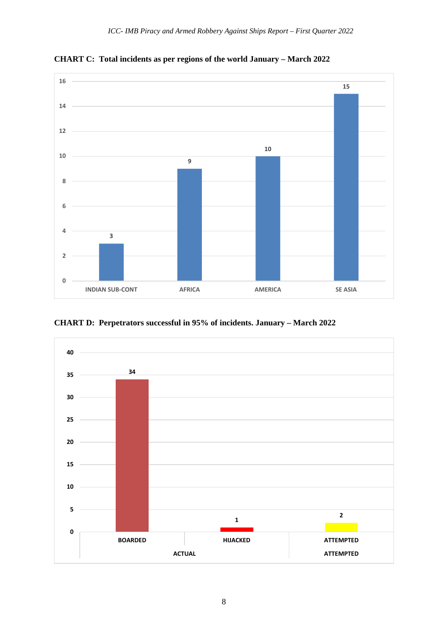

**CHART C: Total incidents as per regions of the world January – March 2022**

**CHART D: Perpetrators successful in 95% of incidents. January – March 2022**

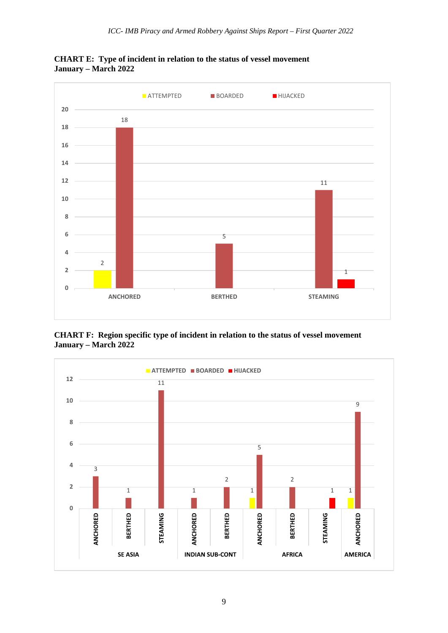

**CHART E: Type of incident in relation to the status of vessel movement January – March 2022**

**CHART F: Region specific type of incident in relation to the status of vessel movement January – March 2022**

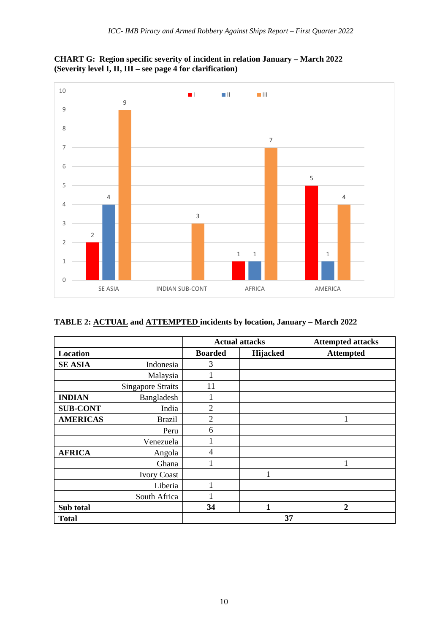



## **TABLE 2: ACTUAL and ATTEMPTED incidents by location, January – March 2022**

|                 |                          |                | <b>Actual attacks</b> | <b>Attempted attacks</b> |
|-----------------|--------------------------|----------------|-----------------------|--------------------------|
| Location        |                          | <b>Boarded</b> | <b>Hijacked</b>       | <b>Attempted</b>         |
| <b>SE ASIA</b>  | Indonesia                | 3              |                       |                          |
|                 | Malaysia                 |                |                       |                          |
|                 | <b>Singapore Straits</b> | 11             |                       |                          |
| <b>INDIAN</b>   | Bangladesh               | 1              |                       |                          |
| <b>SUB-CONT</b> | India                    | $\overline{2}$ |                       |                          |
| <b>AMERICAS</b> | <b>Brazil</b>            | $\overline{2}$ |                       | 1                        |
|                 | Peru                     | 6              |                       |                          |
|                 | Venezuela                |                |                       |                          |
| <b>AFRICA</b>   | Angola                   | $\overline{4}$ |                       |                          |
|                 | Ghana                    |                |                       |                          |
|                 | <b>Ivory Coast</b>       |                |                       |                          |
|                 | Liberia                  |                |                       |                          |
|                 | South Africa             |                |                       |                          |
| Sub total       |                          | 34             | 1                     | $\boldsymbol{2}$         |
| <b>Total</b>    |                          |                | 37                    |                          |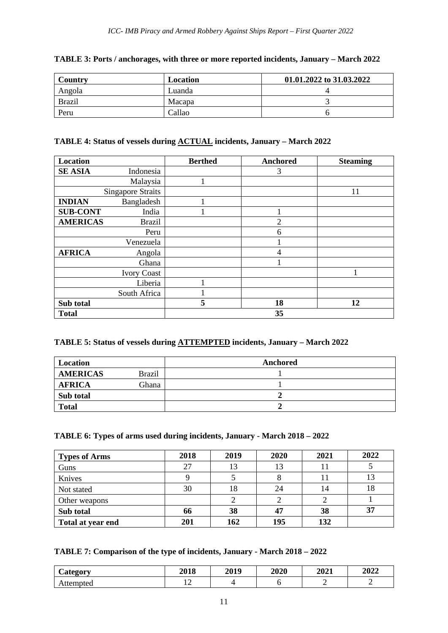| Country       | Location | 01.01.2022 to 31.03.2022 |
|---------------|----------|--------------------------|
| Angola        | Luanda   |                          |
| <b>Brazil</b> | Macapa   |                          |
| Peru          | Callao   |                          |

#### **TABLE 3: Ports / anchorages, with three or more reported incidents, January – March 2022**

#### **TABLE 4: Status of vessels during ACTUAL incidents, January – March 2022**

| Location        |                          | <b>Berthed</b> | Anchored       | <b>Steaming</b> |
|-----------------|--------------------------|----------------|----------------|-----------------|
| <b>SE ASIA</b>  | Indonesia                |                | 3              |                 |
|                 | Malaysia                 |                |                |                 |
|                 | <b>Singapore Straits</b> |                |                | 11              |
| <b>INDIAN</b>   | Bangladesh               |                |                |                 |
| <b>SUB-CONT</b> | India                    |                |                |                 |
| <b>AMERICAS</b> | <b>Brazil</b>            |                | $\overline{2}$ |                 |
|                 | Peru                     |                | 6              |                 |
|                 | Venezuela                |                |                |                 |
| <b>AFRICA</b>   | Angola                   |                | 4              |                 |
|                 | Ghana                    |                |                |                 |
|                 | <b>Ivory Coast</b>       |                |                |                 |
|                 | Liberia                  |                |                |                 |
|                 | South Africa             |                |                |                 |
| Sub total       |                          | 5              | 18             | 12              |
| <b>Total</b>    |                          |                | 35             |                 |

#### **TABLE 5: Status of vessels during ATTEMPTED incidents, January – March 2022**

| Location        |               | Anchored |
|-----------------|---------------|----------|
| <b>AMERICAS</b> | <b>Brazil</b> |          |
| <b>AFRICA</b>   | Ghana         |          |
| Sub total       |               |          |
| <b>Total</b>    |               |          |

#### **TABLE 6: Types of arms used during incidents, January - March 2018 – 2022**

| <b>Types of Arms</b> | 2018 | 2019 | 2020 | 2021 | 2022 |
|----------------------|------|------|------|------|------|
| Guns                 | 27   | 13   | 13   |      |      |
| Knives               |      |      |      |      | 13   |
| Not stated           | 30   | 18   | 24   | 14   | 18   |
| Other weapons        |      |      |      |      |      |
| Sub total            | 66   | 38   | 47   | 38   | 37   |
| Total at year end    | 201  | 162  | 195  | 132  |      |

#### **TABLE 7: Comparison of the type of incidents, January - March 2018 – 2022**

| $\sim$<br><b>Category</b> | 2018 | 2019 | 2020 | 2021 | 2022 |
|---------------------------|------|------|------|------|------|
| Attempted                 | ∸    |      |      | -    | -    |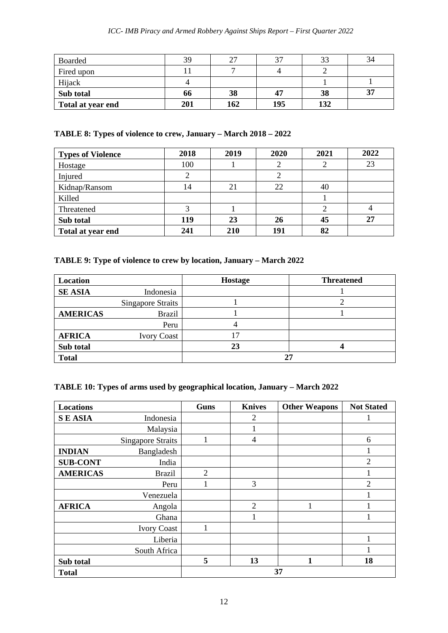| Boarded           | 39  | つつ  | 37  | 33  | 34 |
|-------------------|-----|-----|-----|-----|----|
| Fired upon        |     |     |     |     |    |
| Hijack            |     |     |     |     |    |
| Sub total         | 66  | 38  | 47  | 38  | 37 |
| Total at year end | 201 | 162 | 195 | 132 |    |

#### **TABLE 8: Types of violence to crew, January – March 2018 – 2022**

| <b>Types of Violence</b> | 2018 | 2019 | 2020 | 2021 | 2022 |
|--------------------------|------|------|------|------|------|
| Hostage                  | 100  |      |      |      | 23   |
| Injured                  |      |      |      |      |      |
| Kidnap/Ransom            | 14   | 21   | 22   | 40   |      |
| Killed                   |      |      |      |      |      |
| Threatened               |      |      |      |      |      |
| Sub total                | 119  | 23   | 26   | 45   | 27   |
| Total at year end        | 241  | 210  | 191  | 82   |      |

## **TABLE 9: Type of violence to crew by location, January – March 2022**

| Location        |                          | Hostage | <b>Threatened</b> |  |
|-----------------|--------------------------|---------|-------------------|--|
| <b>SE ASIA</b>  | Indonesia                |         |                   |  |
|                 | <b>Singapore Straits</b> |         |                   |  |
| <b>AMERICAS</b> | <b>Brazil</b>            |         |                   |  |
|                 | Peru                     |         |                   |  |
| <b>AFRICA</b>   | <b>Ivory Coast</b>       | 7       |                   |  |
| Sub total       |                          | 23      |                   |  |
| <b>Total</b>    |                          |         |                   |  |

#### **TABLE 10: Types of arms used by geographical location, January – March 2022**

| <b>Locations</b> |                          | <b>Guns</b>    | <b>Knives</b>  | <b>Other Weapons</b> | <b>Not Stated</b> |  |
|------------------|--------------------------|----------------|----------------|----------------------|-------------------|--|
| <b>SEASIA</b>    | Indonesia                |                | 2              |                      |                   |  |
|                  | Malaysia                 |                |                |                      |                   |  |
|                  | <b>Singapore Straits</b> |                | 4              |                      | 6                 |  |
| <b>INDIAN</b>    | Bangladesh               |                |                |                      |                   |  |
| <b>SUB-CONT</b>  | India                    |                |                |                      | $\overline{2}$    |  |
| <b>AMERICAS</b>  | <b>Brazil</b>            | $\overline{2}$ |                |                      |                   |  |
|                  | Peru                     |                | 3              |                      | $\overline{2}$    |  |
|                  | Venezuela                |                |                |                      |                   |  |
| <b>AFRICA</b>    | Angola                   |                | $\overline{2}$ |                      |                   |  |
|                  | Ghana                    |                |                |                      |                   |  |
|                  | <b>Ivory Coast</b>       |                |                |                      |                   |  |
|                  | Liberia                  |                |                |                      |                   |  |
|                  | South Africa             |                |                |                      |                   |  |
| Sub total        |                          | 5              | 13             | 1                    | 18                |  |
| <b>Total</b>     |                          | 37             |                |                      |                   |  |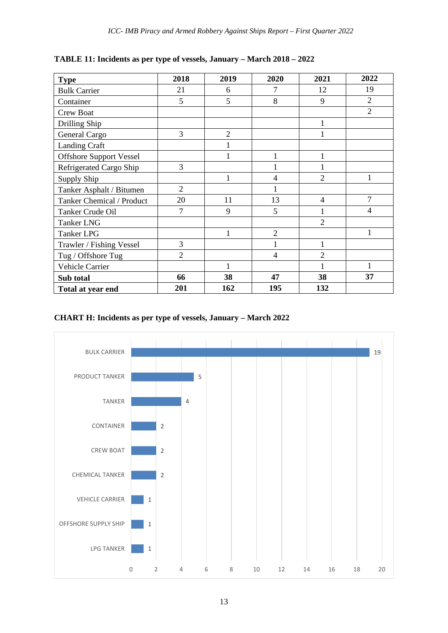| <b>Type</b>                    | 2018           | 2019           | 2020           | 2021           | 2022           |
|--------------------------------|----------------|----------------|----------------|----------------|----------------|
| <b>Bulk Carrier</b>            | 21             | 6              | 7              | 12             | 19             |
| Container                      | 5              | 5              | 8              | 9              | $\overline{2}$ |
| Crew Boat                      |                |                |                |                | $\overline{2}$ |
| Drilling Ship                  |                |                |                |                |                |
| General Cargo                  | 3              | $\overline{2}$ |                |                |                |
| <b>Landing Craft</b>           |                | $\mathbf{1}$   |                |                |                |
| <b>Offshore Support Vessel</b> |                | $\mathbf{1}$   | $\mathbf{1}$   |                |                |
| Refrigerated Cargo Ship        | 3              |                | 1              |                |                |
| Supply Ship                    |                | $\mathbf{1}$   | 4              | $\overline{2}$ | 1              |
| Tanker Asphalt / Bitumen       | $\overline{2}$ |                |                |                |                |
| Tanker Chemical / Product      | 20             | 11             | 13             | $\overline{4}$ | 7              |
| Tanker Crude Oil               | 7              | 9              | 5              |                | 4              |
| <b>Tanker LNG</b>              |                |                |                | $\overline{2}$ |                |
| Tanker LPG                     |                | $\mathbf{1}$   | $\overline{2}$ |                | $\mathbf{1}$   |
| Trawler / Fishing Vessel       | 3              |                | 1              |                |                |
| Tug / Offshore Tug             | $\overline{2}$ |                | $\overline{4}$ | $\overline{2}$ |                |
| Vehicle Carrier                |                | 1              |                |                |                |
| Sub total                      | 66             | 38             | 47             | 38             | 37             |
| Total at year end              | 201            | 162            | 195            | 132            |                |

**TABLE 11: Incidents as per type of vessels, January – March 2018 – 2022**

### **CHART H: Incidents as per type of vessels, January – March 2022**



13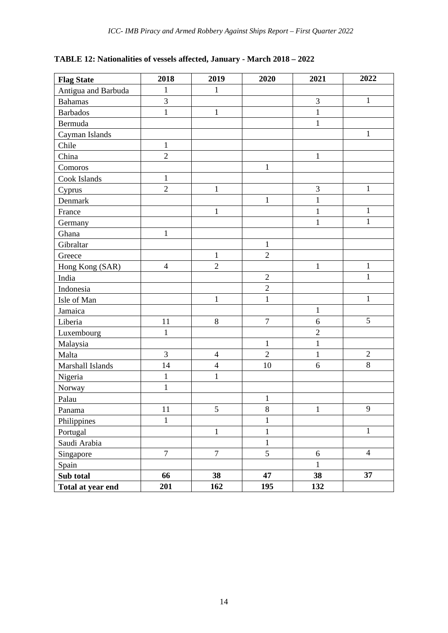| TABLE 12: Nationalities of vessels affected, January - March 2018 - 2022 |  |  |  |  |
|--------------------------------------------------------------------------|--|--|--|--|
|--------------------------------------------------------------------------|--|--|--|--|

| <b>Flag State</b>   | 2018             | 2019           | 2020             | 2021           | 2022           |
|---------------------|------------------|----------------|------------------|----------------|----------------|
| Antigua and Barbuda | $\mathbf{1}$     | $\mathbf{1}$   |                  |                |                |
| <b>Bahamas</b>      | $\overline{3}$   |                |                  | $\overline{3}$ | $\mathbf{1}$   |
| <b>Barbados</b>     | $\mathbf{1}$     | $\mathbf{1}$   |                  | $\mathbf{1}$   |                |
| Bermuda             |                  |                |                  | $\mathbf{1}$   |                |
| Cayman Islands      |                  |                |                  |                | $\mathbf{1}$   |
| Chile               | $\mathbf{1}$     |                |                  |                |                |
| China               | $\overline{2}$   |                |                  | $\mathbf{1}$   |                |
| Comoros             |                  |                | $\mathbf{1}$     |                |                |
| Cook Islands        | $\mathbf{1}$     |                |                  |                |                |
| Cyprus              | $\overline{c}$   | $\mathbf 1$    |                  | $\overline{3}$ | $\mathbf{1}$   |
| Denmark             |                  |                | $\mathbf 1$      | $\mathbf{1}$   |                |
| France              |                  | $\mathbf{1}$   |                  | $\mathbf{1}$   | $\mathbf{1}$   |
| Germany             |                  |                |                  | $\mathbf{1}$   | $\mathbf{1}$   |
| Ghana               | $\mathbf{1}$     |                |                  |                |                |
| Gibraltar           |                  |                | $\mathbf{1}$     |                |                |
| Greece              |                  | $\mathbf{1}$   | $\overline{2}$   |                |                |
| Hong Kong (SAR)     | $\overline{4}$   | $\overline{c}$ |                  | $\mathbf{1}$   | $\mathbf{1}$   |
| India               |                  |                | $\overline{2}$   |                | $\mathbf{1}$   |
| Indonesia           |                  |                | $\overline{2}$   |                |                |
| Isle of Man         |                  | $\mathbf{1}$   | $\mathbf{1}$     |                | $\mathbf{1}$   |
| Jamaica             |                  |                |                  | $\mathbf{1}$   |                |
| Liberia             | 11               | $8\,$          | $\boldsymbol{7}$ | 6              | 5              |
| Luxembourg          | $\mathbf{1}$     |                |                  | $\overline{2}$ |                |
| Malaysia            |                  |                | $\mathbf{1}$     | $\mathbf{1}$   |                |
| Malta               | 3                | $\overline{4}$ | $\overline{2}$   | $\mathbf{1}$   | $\sqrt{2}$     |
| Marshall Islands    | 14               | $\overline{4}$ | 10               | $\overline{6}$ | $\overline{8}$ |
| Nigeria             | $\mathbf{1}$     | $\mathbf{1}$   |                  |                |                |
| Norway              | $\mathbf 1$      |                |                  |                |                |
| Palau               |                  |                | $\mathbf{1}$     |                |                |
| Panama              | 11               | $\mathfrak{S}$ | 8                | $\mathbf{1}$   | 9              |
| Philippines         | $\mathbf{1}$     |                | $\mathbf{1}$     |                |                |
| Portugal            |                  | $\mathbf{1}$   | $\mathbf{1}$     |                | $\mathbf{1}$   |
| Saudi Arabia        |                  |                | $\mathbf{1}$     |                |                |
| Singapore           | $\boldsymbol{7}$ | $\overline{7}$ | 5                | $6\,$          | $\overline{4}$ |
| Spain               |                  |                |                  | $\,1\,$        |                |
| Sub total           | 66               | 38             | 47               | 38             | 37             |
| Total at year end   | 201              | 162            | 195              | 132            |                |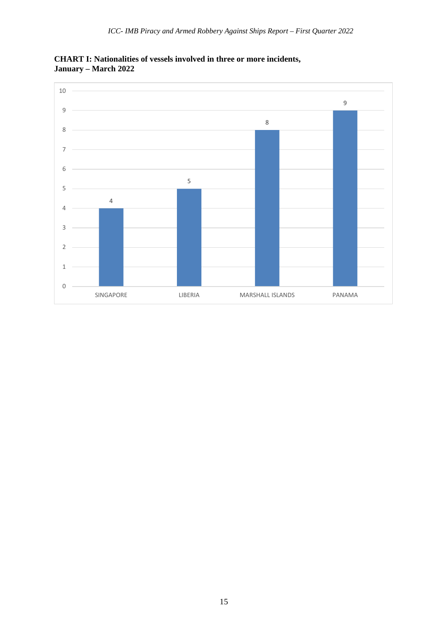

**CHART I: Nationalities of vessels involved in three or more incidents, January – March 2022**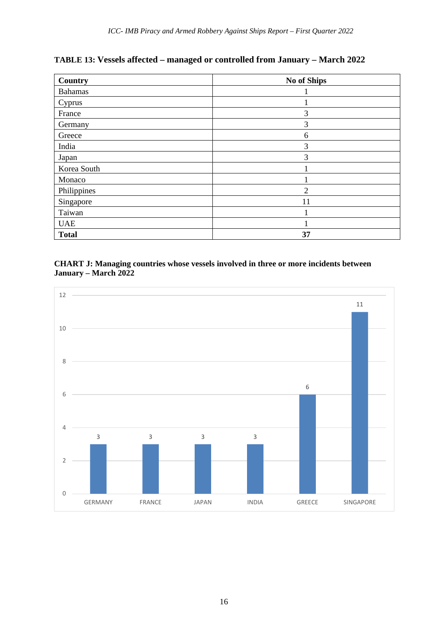**TABLE 13: Vessels affected – managed or controlled from January – March 2022**

| Country        | <b>No of Ships</b> |
|----------------|--------------------|
| <b>Bahamas</b> |                    |
| Cyprus         |                    |
| France         | 3                  |
| Germany        | 3                  |
| Greece         | 6                  |
| India          | 3                  |
| Japan          | 3                  |
| Korea South    |                    |
| Monaco         |                    |
| Philippines    | $\overline{2}$     |
| Singapore      | 11                 |
| Taiwan         |                    |
| <b>UAE</b>     |                    |
| <b>Total</b>   | 37                 |

#### **CHART J: Managing countries whose vessels involved in three or more incidents between January – March 2022**

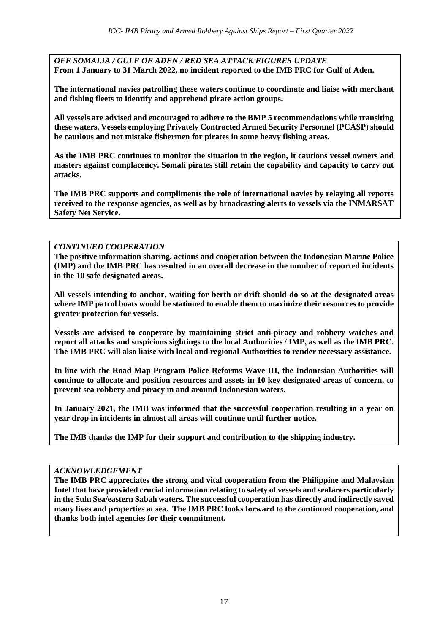*OFF SOMALIA / GULF OF ADEN / RED SEA ATTACK FIGURES UPDATE* **From 1 January to 31 March 2022, no incident reported to the IMB PRC for Gulf of Aden.**

**The international navies patrolling these waters continue to coordinate and liaise with merchant and fishing fleets to identify and apprehend pirate action groups.**

**All vessels are advised and encouraged to adhere to the BMP 5 recommendations while transiting these waters. Vessels employing Privately Contracted Armed Security Personnel (PCASP) should be cautious and not mistake fishermen for pirates in some heavy fishing areas.** 

**As the IMB PRC continues to monitor the situation in the region, it cautions vessel owners and masters against complacency. Somali pirates still retain the capability and capacity to carry out attacks.** 

**The IMB PRC supports and compliments the role of international navies by relaying all reports received to the response agencies, as well as by broadcasting alerts to vessels via the INMARSAT Safety Net Service.**

#### *CONTINUED COOPERATION*

**The positive information sharing, actions and cooperation between the Indonesian Marine Police (IMP) and the IMB PRC has resulted in an overall decrease in the number of reported incidents in the 10 safe designated areas.**

**All vessels intending to anchor, waiting for berth or drift should do so at the designated areas where IMP patrol boats would be stationed to enable them to maximize their resources to provide greater protection for vessels.**

**Vessels are advised to cooperate by maintaining strict anti-piracy and robbery watches and report all attacks and suspicious sightings to the local Authorities / IMP, as well as the IMB PRC. The IMB PRC will also liaise with local and regional Authorities to render necessary assistance.**

**In line with the Road Map Program Police Reforms Wave III, the Indonesian Authorities will continue to allocate and position resources and assets in 10 key designated areas of concern, to prevent sea robbery and piracy in and around Indonesian waters.**

**In January 2021, the IMB was informed that the successful cooperation resulting in a year on year drop in incidents in almost all areas will continue until further notice.** 

**The IMB thanks the IMP for their support and contribution to the shipping industry.**

#### *ACKNOWLEDGEMENT*

**The IMB PRC appreciates the strong and vital cooperation from the Philippine and Malaysian Intel that have provided crucial information relating to safety of vessels and seafarers particularly in the Sulu Sea/eastern Sabah waters. The successful cooperation has directly and indirectly saved many lives and properties at sea. The IMB PRC looks forward to the continued cooperation, and thanks both intel agencies for their commitment.**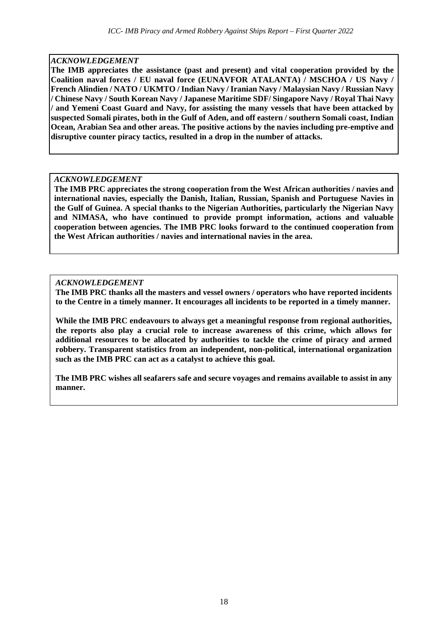#### *ACKNOWLEDGEMENT*

**The IMB appreciates the assistance (past and present) and vital cooperation provided by the Coalition naval forces / EU naval force (EUNAVFOR ATALANTA) / MSCHOA / US Navy / French Alindien / NATO / UKMTO / Indian Navy / Iranian Navy / Malaysian Navy / Russian Navy / Chinese Navy / South Korean Navy / Japanese Maritime SDF/ Singapore Navy / Royal Thai Navy / and Yemeni Coast Guard and Navy, for assisting the many vessels that have been attacked by suspected Somali pirates, both in the Gulf of Aden, and off eastern / southern Somali coast, Indian Ocean, Arabian Sea and other areas. The positive actions by the navies including pre-emptive and disruptive counter piracy tactics, resulted in a drop in the number of attacks.**

#### *ACKNOWLEDGEMENT*

**The IMB PRC appreciates the strong cooperation from the West African authorities / navies and international navies, especially the Danish, Italian, Russian, Spanish and Portuguese Navies in the Gulf of Guinea. A special thanks to the Nigerian Authorities, particularly the Nigerian Navy and NIMASA, who have continued to provide prompt information, actions and valuable cooperation between agencies. The IMB PRC looks forward to the continued cooperation from the West African authorities / navies and international navies in the area.**

#### *ACKNOWLEDGEMENT*

**The IMB PRC thanks all the masters and vessel owners / operators who have reported incidents to the Centre in a timely manner. It encourages all incidents to be reported in a timely manner.** 

**While the IMB PRC endeavours to always get a meaningful response from regional authorities, the reports also play a crucial role to increase awareness of this crime, which allows for additional resources to be allocated by authorities to tackle the crime of piracy and armed robbery. Transparent statistics from an independent, non-political, international organization such as the IMB PRC can act as a catalyst to achieve this goal.**

**The IMB PRC wishes all seafarers safe and secure voyages and remains available to assist in any manner.**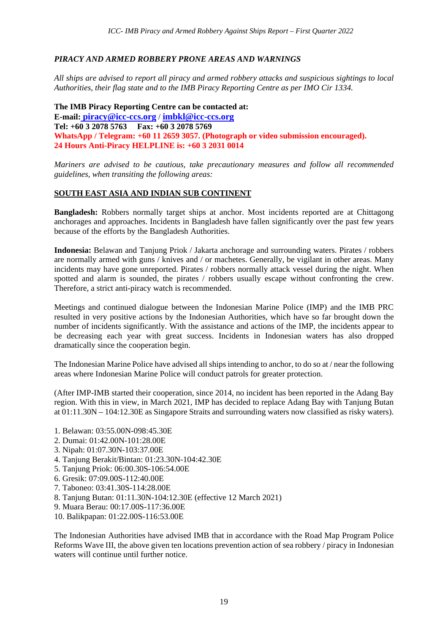#### *PIRACY AND ARMED ROBBERY PRONE AREAS AND WARNINGS*

*All ships are advised to report all piracy and armed robbery attacks and suspicious sightings to local Authorities, their flag state and to the IMB Piracy Reporting Centre as per IMO Cir 1334.*

**The IMB Piracy Reporting Centre can be contacted at: E-mail: [piracy@icc-ccs.org](mailto:piracy@icc-ccs.org)** / **[imbkl@icc-ccs.org](mailto:imbkl@icc-ccs.org) Tel: +60 3 2078 5763 Fax: +60 3 2078 5769 WhatsApp / Telegram: +60 11 2659 3057. (Photograph or video submission encouraged). 24 Hours Anti-Piracy HELPLINE is: +60 3 2031 0014**

*Mariners are advised to be cautious, take precautionary measures and follow all recommended guidelines, when transiting the following areas:*

#### **SOUTH EAST ASIA AND INDIAN SUB CONTINENT**

**Bangladesh:** Robbers normally target ships at anchor. Most incidents reported are at Chittagong anchorages and approaches. Incidents in Bangladesh have fallen significantly over the past few years because of the efforts by the Bangladesh Authorities.

**Indonesia:** Belawan and Tanjung Priok / Jakarta anchorage and surrounding waters. Pirates / robbers are normally armed with guns / knives and / or machetes. Generally, be vigilant in other areas. Many incidents may have gone unreported. Pirates / robbers normally attack vessel during the night. When spotted and alarm is sounded, the pirates / robbers usually escape without confronting the crew. Therefore, a strict anti-piracy watch is recommended.

Meetings and continued dialogue between the Indonesian Marine Police (IMP) and the IMB PRC resulted in very positive actions by the Indonesian Authorities, which have so far brought down the number of incidents significantly. With the assistance and actions of the IMP, the incidents appear to be decreasing each year with great success. Incidents in Indonesian waters has also dropped dramatically since the cooperation begin.

The Indonesian Marine Police have advised all ships intending to anchor, to do so at / near the following areas where Indonesian Marine Police will conduct patrols for greater protection.

(After IMP-IMB started their cooperation, since 2014, no incident has been reported in the Adang Bay region. With this in view, in March 2021, IMP has decided to replace Adang Bay with Tanjung Butan at 01:11.30N – 104:12.30E as Singapore Straits and surrounding waters now classified as risky waters).

- 1. Belawan: 03:55.00N-098:45.30E
- 2. Dumai: 01:42.00N-101:28.00E
- 3. Nipah: 01:07.30N-103:37.00E
- 4. Tanjung Berakit/Bintan: 01:23.30N-104:42.30E
- 5. Tanjung Priok: 06:00.30S-106:54.00E
- 6. Gresik: 07:09.00S-112:40.00E
- 7. Taboneo: 03:41.30S-114:28.00E
- 8. Tanjung Butan: 01:11.30N-104:12.30E (effective 12 March 2021)
- 9. Muara Berau: 00:17.00S-117:36.00E
- 10. Balikpapan: 01:22.00S-116:53.00E

The Indonesian Authorities have advised IMB that in accordance with the Road Map Program Police Reforms Wave III, the above given ten locations prevention action of sea robbery / piracy in Indonesian waters will continue until further notice.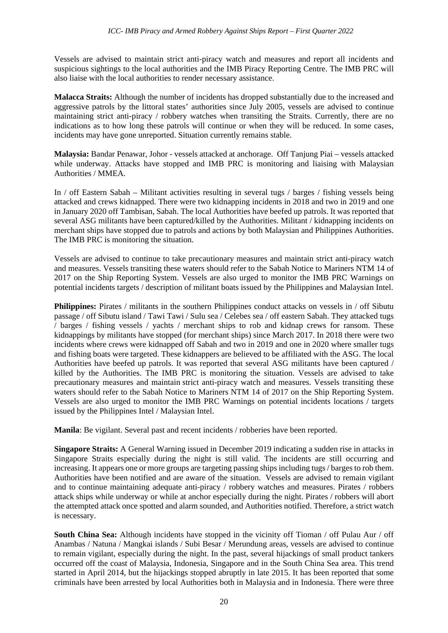Vessels are advised to maintain strict anti-piracy watch and measures and report all incidents and suspicious sightings to the local authorities and the IMB Piracy Reporting Centre. The IMB PRC will also liaise with the local authorities to render necessary assistance.

**Malacca Straits:** Although the number of incidents has dropped substantially due to the increased and aggressive patrols by the littoral states' authorities since July 2005, vessels are advised to continue maintaining strict anti-piracy / robbery watches when transiting the Straits. Currently, there are no indications as to how long these patrols will continue or when they will be reduced. In some cases, incidents may have gone unreported. Situation currently remains stable.

**Malaysia:** Bandar Penawar, Johor - vessels attacked at anchorage. Off Tanjung Piai – vessels attacked while underway. Attacks have stopped and IMB PRC is monitoring and liaising with Malaysian Authorities / MMEA.

In / off Eastern Sabah – Militant activities resulting in several tugs / barges / fishing vessels being attacked and crews kidnapped. There were two kidnapping incidents in 2018 and two in 2019 and one in January 2020 off Tambisan, Sabah. The local Authorities have beefed up patrols. It was reported that several ASG militants have been captured/killed by the Authorities. Militant / kidnapping incidents on merchant ships have stopped due to patrols and actions by both Malaysian and Philippines Authorities. The IMB PRC is monitoring the situation.

Vessels are advised to continue to take precautionary measures and maintain strict anti-piracy watch and measures. Vessels transiting these waters should refer to the Sabah Notice to Mariners NTM 14 of 2017 on the Ship Reporting System. Vessels are also urged to monitor the IMB PRC Warnings on potential incidents targets / description of militant boats issued by the Philippines and Malaysian Intel.

**Philippines:** Pirates / militants in the southern Philippines conduct attacks on vessels in / off Sibutu passage / off Sibutu island / Tawi Tawi / Sulu sea / Celebes sea / off eastern Sabah. They attacked tugs / barges / fishing vessels / yachts / merchant ships to rob and kidnap crews for ransom. These kidnappings by militants have stopped (for merchant ships) since March 2017. In 2018 there were two incidents where crews were kidnapped off Sabah and two in 2019 and one in 2020 where smaller tugs and fishing boats were targeted. These kidnappers are believed to be affiliated with the ASG. The local Authorities have beefed up patrols. It was reported that several ASG militants have been captured / killed by the Authorities. The IMB PRC is monitoring the situation. Vessels are advised to take precautionary measures and maintain strict anti-piracy watch and measures. Vessels transiting these waters should refer to the Sabah Notice to Mariners NTM 14 of 2017 on the Ship Reporting System. Vessels are also urged to monitor the IMB PRC Warnings on potential incidents locations / targets issued by the Philippines Intel / Malaysian Intel.

**Manila**: Be vigilant. Several past and recent incidents / robberies have been reported.

**Singapore Straits:** A General Warning issued in December 2019 indicating a sudden rise in attacks in Singapore Straits especially during the night is still valid. The incidents are still occurring and increasing. It appears one or more groups are targeting passing ships including tugs / barges to rob them. Authorities have been notified and are aware of the situation. Vessels are advised to remain vigilant and to continue maintaining adequate anti-piracy / robbery watches and measures. Pirates / robbers attack ships while underway or while at anchor especially during the night. Pirates / robbers will abort the attempted attack once spotted and alarm sounded, and Authorities notified. Therefore, a strict watch is necessary.

**South China Sea:** Although incidents have stopped in the vicinity off Tioman / off Pulau Aur / off Anambas / Natuna / Mangkai islands / Subi Besar / Merundung areas, vessels are advised to continue to remain vigilant, especially during the night. In the past, several hijackings of small product tankers occurred off the coast of Malaysia, Indonesia, Singapore and in the South China Sea area. This trend started in April 2014, but the hijackings stopped abruptly in late 2015. It has been reported that some criminals have been arrested by local Authorities both in Malaysia and in Indonesia. There were three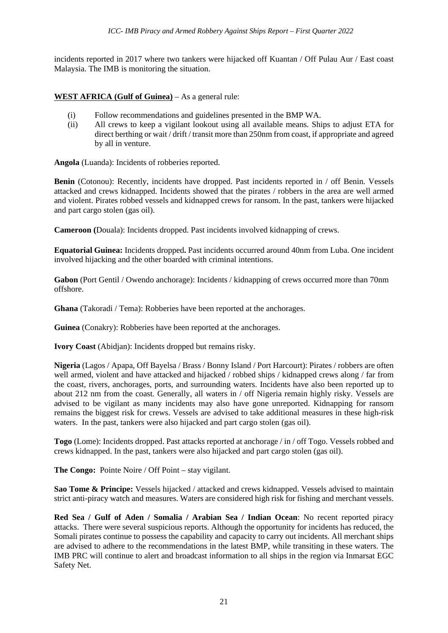incidents reported in 2017 where two tankers were hijacked off Kuantan / Off Pulau Aur / East coast Malaysia. The IMB is monitoring the situation.

#### **WEST AFRICA (Gulf of Guinea)** – As a general rule:

- (i) Follow recommendations and guidelines presented in the BMP WA.
- (ii) All crews to keep a vigilant lookout using all available means. Ships to adjust ETA for direct berthing or wait / drift / transit more than 250nm from coast, if appropriate and agreed by all in venture.

**Angola** (Luanda): Incidents of robberies reported.

**Benin** (Cotonou): Recently, incidents have dropped. Past incidents reported in / off Benin. Vessels attacked and crews kidnapped. Incidents showed that the pirates / robbers in the area are well armed and violent. Pirates robbed vessels and kidnapped crews for ransom. In the past, tankers were hijacked and part cargo stolen (gas oil).

**Cameroon (**Douala): Incidents dropped. Past incidents involved kidnapping of crews.

**Equatorial Guinea:** Incidents dropped**.** Past incidents occurred around 40nm from Luba. One incident involved hijacking and the other boarded with criminal intentions.

**Gabon** (Port Gentil / Owendo anchorage): Incidents / kidnapping of crews occurred more than 70nm offshore.

**Ghana** (Takoradi / Tema): Robberies have been reported at the anchorages.

**Guinea** (Conakry): Robberies have been reported at the anchorages.

**Ivory Coast** (Abidjan): Incidents dropped but remains risky.

**Nigeria** (Lagos / Apapa, Off Bayelsa / Brass / Bonny Island / Port Harcourt): Pirates / robbers are often well armed, violent and have attacked and hijacked / robbed ships / kidnapped crews along / far from the coast, rivers, anchorages, ports, and surrounding waters. Incidents have also been reported up to about 212 nm from the coast. Generally, all waters in / off Nigeria remain highly risky. Vessels are advised to be vigilant as many incidents may also have gone unreported. Kidnapping for ransom remains the biggest risk for crews. Vessels are advised to take additional measures in these high-risk waters. In the past, tankers were also hijacked and part cargo stolen (gas oil).

**Togo** (Lome): Incidents dropped. Past attacks reported at anchorage / in / off Togo. Vessels robbed and crews kidnapped. In the past, tankers were also hijacked and part cargo stolen (gas oil).

**The Congo:** Pointe Noire / Off Point – stay vigilant.

**Sao Tome & Principe:** Vessels hijacked / attacked and crews kidnapped. Vessels advised to maintain strict anti-piracy watch and measures. Waters are considered high risk for fishing and merchant vessels.

**Red Sea / Gulf of Aden / Somalia / Arabian Sea / Indian Ocean**: No recent reported piracy attacks. There were several suspicious reports. Although the opportunity for incidents has reduced, the Somali pirates continue to possess the capability and capacity to carry out incidents. All merchant ships are advised to adhere to the recommendations in the latest BMP, while transiting in these waters. The IMB PRC will continue to alert and broadcast information to all ships in the region via Inmarsat EGC Safety Net.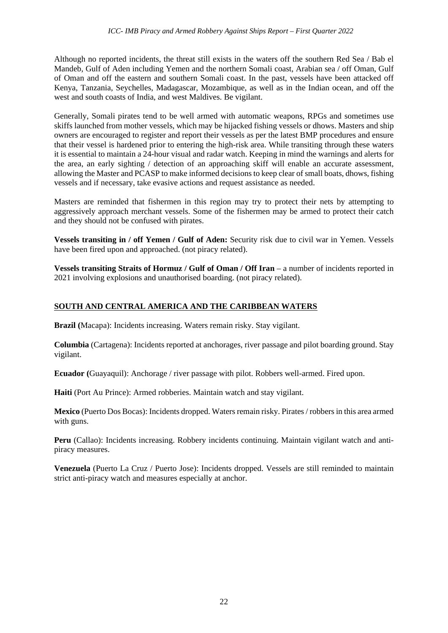Although no reported incidents, the threat still exists in the waters off the southern Red Sea / Bab el Mandeb, Gulf of Aden including Yemen and the northern Somali coast, Arabian sea / off Oman, Gulf of Oman and off the eastern and southern Somali coast. In the past, vessels have been attacked off Kenya, Tanzania, Seychelles, Madagascar, Mozambique, as well as in the Indian ocean, and off the west and south coasts of India, and west Maldives. Be vigilant.

Generally, Somali pirates tend to be well armed with automatic weapons, RPGs and sometimes use skiffs launched from mother vessels, which may be hijacked fishing vessels or dhows. Masters and ship owners are encouraged to register and report their vessels as per the latest BMP procedures and ensure that their vessel is hardened prior to entering the high-risk area. While transiting through these waters it is essential to maintain a 24-hour visual and radar watch. Keeping in mind the warnings and alerts for the area, an early sighting / detection of an approaching skiff will enable an accurate assessment, allowing the Master and PCASP to make informed decisions to keep clear of small boats, dhows, fishing vessels and if necessary, take evasive actions and request assistance as needed.

Masters are reminded that fishermen in this region may try to protect their nets by attempting to aggressively approach merchant vessels. Some of the fishermen may be armed to protect their catch and they should not be confused with pirates.

**Vessels transiting in / off Yemen / Gulf of Aden:** Security risk due to civil war in Yemen. Vessels have been fired upon and approached. (not piracy related).

**Vessels transiting Straits of Hormuz / Gulf of Oman / Off Iran** – a number of incidents reported in 2021 involving explosions and unauthorised boarding. (not piracy related).

### **SOUTH AND CENTRAL AMERICA AND THE CARIBBEAN WATERS**

**Brazil (**Macapa): Incidents increasing. Waters remain risky. Stay vigilant.

**Columbia** (Cartagena): Incidents reported at anchorages, river passage and pilot boarding ground. Stay vigilant.

**Ecuador (**Guayaquil): Anchorage / river passage with pilot. Robbers well-armed. Fired upon.

**Haiti** (Port Au Prince): Armed robberies. Maintain watch and stay vigilant.

**Mexico** (Puerto Dos Bocas): Incidents dropped. Waters remain risky. Pirates / robbers in this area armed with guns.

**Peru** (Callao): Incidents increasing. Robbery incidents continuing. Maintain vigilant watch and antipiracy measures.

**Venezuela** (Puerto La Cruz / Puerto Jose): Incidents dropped. Vessels are still reminded to maintain strict anti-piracy watch and measures especially at anchor.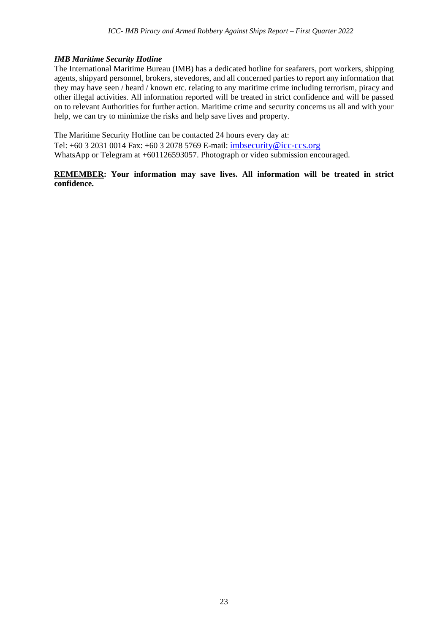#### *IMB Maritime Security Hotline*

The International Maritime Bureau (IMB) has a dedicated hotline for seafarers, port workers, shipping agents, shipyard personnel, brokers, stevedores, and all concerned parties to report any information that they may have seen / heard / known etc. relating to any maritime crime including terrorism, piracy and other illegal activities. All information reported will be treated in strict confidence and will be passed on to relevant Authorities for further action. Maritime crime and security concerns us all and with your help, we can try to minimize the risks and help save lives and property.

The Maritime Security Hotline can be contacted 24 hours every day at: Tel: +60 3 2031 0014 Fax: +60 3 2078 5769 E-mail: [imbsecurity@icc-ccs.org](mailto:imbsecurity@icc-ccs.org) WhatsApp or Telegram at +601126593057. Photograph or video submission encouraged.

#### **REMEMBER: Your information may save lives. All information will be treated in strict confidence.**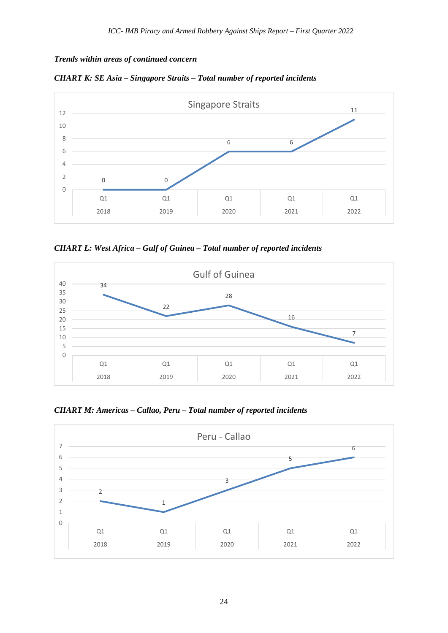*Trends within areas of continued concern*





*CHART L: West Africa – Gulf of Guinea – Total number of reported incidents*



*CHART M: Americas – Callao, Peru – Total number of reported incidents* 

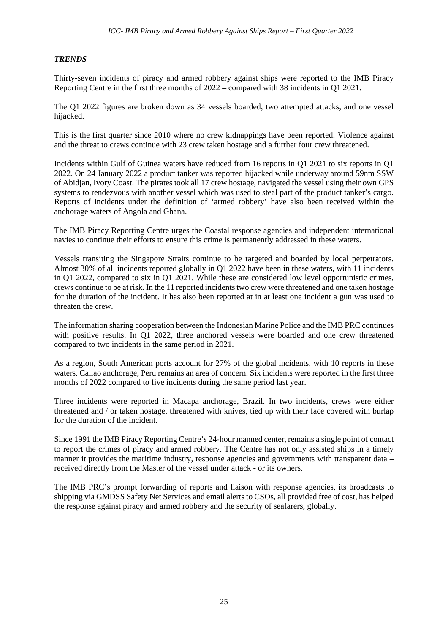#### *TRENDS*

Thirty-seven incidents of piracy and armed robbery against ships were reported to the IMB Piracy Reporting Centre in the first three months of 2022 – compared with 38 incidents in Q1 2021.

The Q1 2022 figures are broken down as 34 vessels boarded, two attempted attacks, and one vessel hijacked.

This is the first quarter since 2010 where no crew kidnappings have been reported. Violence against and the threat to crews continue with 23 crew taken hostage and a further four crew threatened.

Incidents within Gulf of Guinea waters have reduced from 16 reports in Q1 2021 to six reports in Q1 2022. On 24 January 2022 a product tanker was reported hijacked while underway around 59nm SSW of Abidjan, Ivory Coast. The pirates took all 17 crew hostage, navigated the vessel using their own GPS systems to rendezvous with another vessel which was used to steal part of the product tanker's cargo. Reports of incidents under the definition of 'armed robbery' have also been received within the anchorage waters of Angola and Ghana.

The IMB Piracy Reporting Centre urges the Coastal response agencies and independent international navies to continue their efforts to ensure this crime is permanently addressed in these waters.

Vessels transiting the Singapore Straits continue to be targeted and boarded by local perpetrators. Almost 30% of all incidents reported globally in Q1 2022 have been in these waters, with 11 incidents in Q1 2022, compared to six in Q1 2021. While these are considered low level opportunistic crimes, crews continue to be at risk. In the 11 reported incidents two crew were threatened and one taken hostage for the duration of the incident. It has also been reported at in at least one incident a gun was used to threaten the crew.

The information sharing cooperation between the Indonesian Marine Police and the IMB PRC continues with positive results. In O1 2022, three anchored vessels were boarded and one crew threatened compared to two incidents in the same period in 2021.

As a region, South American ports account for 27% of the global incidents, with 10 reports in these waters. Callao anchorage, Peru remains an area of concern. Six incidents were reported in the first three months of 2022 compared to five incidents during the same period last year.

Three incidents were reported in Macapa anchorage, Brazil. In two incidents, crews were either threatened and / or taken hostage, threatened with knives, tied up with their face covered with burlap for the duration of the incident.

Since 1991 the IMB Piracy Reporting Centre's 24-hour manned center, remains a single point of contact to report the crimes of piracy and armed robbery. The Centre has not only assisted ships in a timely manner it provides the maritime industry, response agencies and governments with transparent data – received directly from the Master of the vessel under attack - or its owners.

The IMB PRC's prompt forwarding of reports and liaison with response agencies, its broadcasts to shipping via GMDSS Safety Net Services and email alerts to CSOs, all provided free of cost, has helped the response against piracy and armed robbery and the security of seafarers, globally.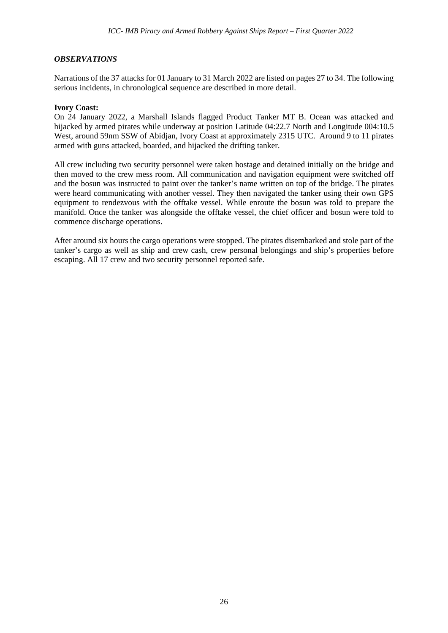#### *OBSERVATIONS*

Narrations of the 37 attacks for 01 January to 31 March 2022 are listed on pages 27 to 34. The following serious incidents, in chronological sequence are described in more detail.

#### **Ivory Coast:**

On 24 January 2022, a Marshall Islands flagged Product Tanker MT B. Ocean was attacked and hijacked by armed pirates while underway at position Latitude 04:22.7 North and Longitude 004:10.5 West, around 59nm SSW of Abidian, Ivory Coast at approximately 2315 UTC. Around 9 to 11 pirates armed with guns attacked, boarded, and hijacked the drifting tanker.

All crew including two security personnel were taken hostage and detained initially on the bridge and then moved to the crew mess room. All communication and navigation equipment were switched off and the bosun was instructed to paint over the tanker's name written on top of the bridge. The pirates were heard communicating with another vessel. They then navigated the tanker using their own GPS equipment to rendezvous with the offtake vessel. While enroute the bosun was told to prepare the manifold. Once the tanker was alongside the offtake vessel, the chief officer and bosun were told to commence discharge operations.

After around six hours the cargo operations were stopped. The pirates disembarked and stole part of the tanker's cargo as well as ship and crew cash, crew personal belongings and ship's properties before escaping. All 17 crew and two security personnel reported safe.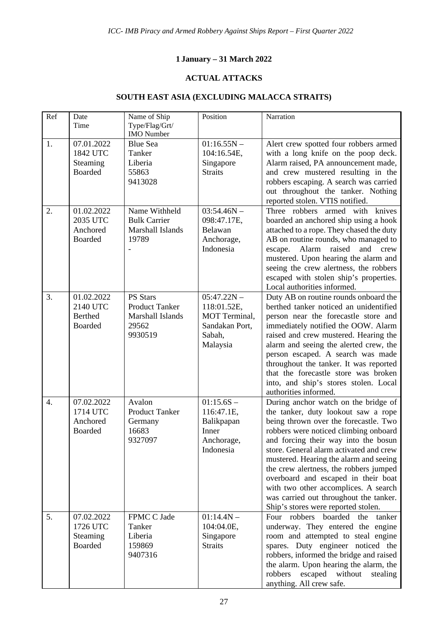## **1 January – 31 March 2022**

## **ACTUAL ATTACKS**

## **SOUTH EAST ASIA (EXCLUDING MALACCA STRAITS)**

| Ref              | Date<br>Time                                               | Name of Ship<br>Type/Flag/Grt/<br><b>IMO</b> Number                              | Position                                                                              | Narration                                                                                                                                                                                                                                                                                                                                                                                                                                                                                            |
|------------------|------------------------------------------------------------|----------------------------------------------------------------------------------|---------------------------------------------------------------------------------------|------------------------------------------------------------------------------------------------------------------------------------------------------------------------------------------------------------------------------------------------------------------------------------------------------------------------------------------------------------------------------------------------------------------------------------------------------------------------------------------------------|
| 1.               | 07.01.2022<br>1842 UTC<br>Steaming<br><b>Boarded</b>       | <b>Blue Sea</b><br>Tanker<br>Liberia<br>55863<br>9413028                         | $01:16.55N -$<br>104:16.54E,<br>Singapore<br><b>Straits</b>                           | Alert crew spotted four robbers armed<br>with a long knife on the poop deck.<br>Alarm raised, PA announcement made,<br>and crew mustered resulting in the<br>robbers escaping. A search was carried<br>out throughout the tanker. Nothing<br>reported stolen. VTIS notified.                                                                                                                                                                                                                         |
| 2.               | 01.02.2022<br>2035 UTC<br>Anchored<br><b>Boarded</b>       | Name Withheld<br><b>Bulk Carrier</b><br>Marshall Islands<br>19789                | $03:54.46N -$<br>098:47.17E,<br>Belawan<br>Anchorage,<br>Indonesia                    | Three robbers<br>armed with<br>knives<br>boarded an anchored ship using a hook<br>attached to a rope. They chased the duty<br>AB on routine rounds, who managed to<br>Alarm<br>raised<br>and<br>crew<br>escape.<br>mustered. Upon hearing the alarm and<br>seeing the crew alertness, the robbers<br>escaped with stolen ship's properties.<br>Local authorities informed.                                                                                                                           |
| 3.               | 01.02.2022<br>2140 UTC<br><b>Berthed</b><br><b>Boarded</b> | <b>PS Stars</b><br><b>Product Tanker</b><br>Marshall Islands<br>29562<br>9930519 | $05:47.22N -$<br>118:01.52E,<br>MOT Terminal.<br>Sandakan Port,<br>Sabah,<br>Malaysia | Duty AB on routine rounds onboard the<br>berthed tanker noticed an unidentified<br>person near the forecastle store and<br>immediately notified the OOW. Alarm<br>raised and crew mustered. Hearing the<br>alarm and seeing the alerted crew, the<br>person escaped. A search was made<br>throughout the tanker. It was reported<br>that the forecastle store was broken<br>into, and ship's stores stolen. Local<br>authorities informed.                                                           |
| $\overline{4}$ . | 07.02.2022<br>1714 UTC<br>Anchored<br><b>Boarded</b>       | Avalon<br><b>Product Tanker</b><br>Germany<br>16683<br>9327097                   | $01:15.6S -$<br>116:47.1E,<br>Balikpapan<br>Inner<br>Anchorage,<br>Indonesia          | During anchor watch on the bridge of<br>the tanker, duty lookout saw a rope<br>being thrown over the forecastle. Two<br>robbers were noticed climbing onboard<br>and forcing their way into the bosun<br>store. General alarm activated and crew<br>mustered. Hearing the alarm and seeing<br>the crew alertness, the robbers jumped<br>overboard and escaped in their boat<br>with two other accomplices. A search<br>was carried out throughout the tanker.<br>Ship's stores were reported stolen. |
| 5.               | 07.02.2022<br>1726 UTC<br>Steaming<br><b>Boarded</b>       | FPMC C Jade<br>Tanker<br>Liberia<br>159869<br>9407316                            | $01:14.4N -$<br>104:04.0E,<br>Singapore<br><b>Straits</b>                             | Four robbers<br>boarded<br>the<br>tanker<br>underway. They entered the engine<br>room and attempted to steal engine<br>spares. Duty engineer noticed the<br>robbers, informed the bridge and raised<br>the alarm. Upon hearing the alarm, the<br>robbers<br>escaped without<br>stealing<br>anything. All crew safe.                                                                                                                                                                                  |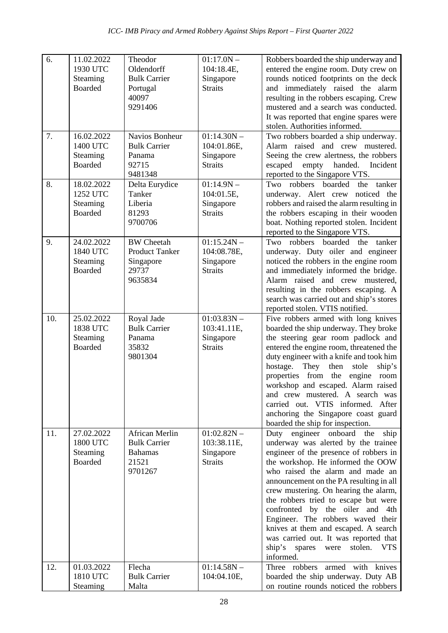| 6.  | 11.02.2022<br>1930 UTC<br>Steaming<br><b>Boarded</b> | Theodor<br>Oldendorff<br><b>Bulk Carrier</b><br>Portugal<br>40097<br>9291406 | $01:17.0N -$<br>104:18.4E,<br>Singapore<br><b>Straits</b>   | Robbers boarded the ship underway and<br>entered the engine room. Duty crew on<br>rounds noticed footprints on the deck<br>and immediately raised the alarm<br>resulting in the robbers escaping. Crew<br>mustered and a search was conducted.<br>It was reported that engine spares were<br>stolen. Authorities informed.                                                                                                                                                                                                                               |
|-----|------------------------------------------------------|------------------------------------------------------------------------------|-------------------------------------------------------------|----------------------------------------------------------------------------------------------------------------------------------------------------------------------------------------------------------------------------------------------------------------------------------------------------------------------------------------------------------------------------------------------------------------------------------------------------------------------------------------------------------------------------------------------------------|
| 7.  | 16.02.2022<br>1400 UTC<br>Steaming<br><b>Boarded</b> | Navios Bonheur<br><b>Bulk Carrier</b><br>Panama<br>92715<br>9481348          | $01:14.30N -$<br>104:01.86E,<br>Singapore<br><b>Straits</b> | Two robbers boarded a ship underway.<br>Alarm raised and crew mustered.<br>Seeing the crew alertness, the robbers<br>escaped empty handed. Incident<br>reported to the Singapore VTS.                                                                                                                                                                                                                                                                                                                                                                    |
| 8.  | 18.02.2022<br>1252 UTC<br>Steaming<br><b>Boarded</b> | Delta Eurydice<br>Tanker<br>Liberia<br>81293<br>9700706                      | $01:14.9N -$<br>104:01.5E,<br>Singapore<br><b>Straits</b>   | boarded<br>Two robbers<br>the<br>tanker<br>underway. Alert crew noticed the<br>robbers and raised the alarm resulting in<br>the robbers escaping in their wooden<br>boat. Nothing reported stolen. Incident<br>reported to the Singapore VTS.                                                                                                                                                                                                                                                                                                            |
| 9.  | 24.02.2022<br>1840 UTC<br>Steaming<br><b>Boarded</b> | <b>BW</b> Cheetah<br><b>Product Tanker</b><br>Singapore<br>29737<br>9635834  | $01:15.24N -$<br>104:08.78E,<br>Singapore<br><b>Straits</b> | Two robbers<br>boarded<br>tanker<br>the<br>underway. Duty oiler and engineer<br>noticed the robbers in the engine room<br>and immediately informed the bridge.<br>Alarm raised and crew mustered,<br>resulting in the robbers escaping. A<br>search was carried out and ship's stores<br>reported stolen. VTIS notified.                                                                                                                                                                                                                                 |
| 10. | 25.02.2022<br>1838 UTC<br>Steaming<br><b>Boarded</b> | Royal Jade<br><b>Bulk Carrier</b><br>Panama<br>35832<br>9801304              | $01:03.83N -$<br>103:41.11E,<br>Singapore<br><b>Straits</b> | Five robbers armed with long knives<br>boarded the ship underway. They broke<br>the steering gear room padlock and<br>entered the engine room, threatened the<br>duty engineer with a knife and took him<br>hostage.<br>They<br>then<br>stole<br>ship's<br>properties from the<br>engine<br>room<br>workshop and escaped. Alarm raised<br>and crew mustered. A search was<br>carried out. VTIS informed. After<br>anchoring the Singapore coast guard<br>boarded the ship for inspection.                                                                |
| 11. | 27.02.2022<br>1800 UTC<br>Steaming<br><b>Boarded</b> | African Merlin<br><b>Bulk Carrier</b><br><b>Bahamas</b><br>21521<br>9701267  | $01:02.82N -$<br>103:38.11E,<br>Singapore<br><b>Straits</b> | Duty engineer onboard<br>the<br>ship<br>underway was alerted by the trainee<br>engineer of the presence of robbers in<br>the workshop. He informed the OOW<br>who raised the alarm and made an<br>announcement on the PA resulting in all<br>crew mustering. On hearing the alarm,<br>the robbers tried to escape but were<br>confronted by the oiler and<br>4th<br>Engineer. The robbers waved their<br>knives at them and escaped. A search<br>was carried out. It was reported that<br>ship's<br><b>VTS</b><br>spares<br>stolen.<br>were<br>informed. |
| 12. | 01.03.2022<br>1810 UTC<br>Steaming                   | Flecha<br><b>Bulk Carrier</b><br>Malta                                       | $01:14.58N -$<br>104:04.10E,                                | Three robbers<br>armed with<br>knives<br>boarded the ship underway. Duty AB<br>on routine rounds noticed the robbers                                                                                                                                                                                                                                                                                                                                                                                                                                     |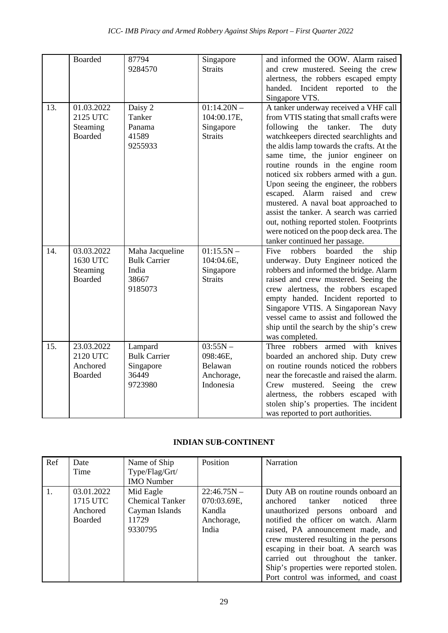|     | <b>Boarded</b>                                       | 87794<br>9284570                                                    | Singapore<br><b>Straits</b>                                  | and informed the OOW. Alarm raised<br>and crew mustered. Seeing the crew<br>alertness, the robbers escaped empty<br>handed. Incident reported to<br>the<br>Singapore VTS.                                                                                                                                                                                                                                                                                                                                                                                                                                                       |
|-----|------------------------------------------------------|---------------------------------------------------------------------|--------------------------------------------------------------|---------------------------------------------------------------------------------------------------------------------------------------------------------------------------------------------------------------------------------------------------------------------------------------------------------------------------------------------------------------------------------------------------------------------------------------------------------------------------------------------------------------------------------------------------------------------------------------------------------------------------------|
| 13. | 01.03.2022<br>2125 UTC<br>Steaming<br><b>Boarded</b> | Daisy 2<br>Tanker<br>Panama<br>41589<br>9255933                     | $01:14.20N -$<br>104:00.17E,<br>Singapore<br><b>Straits</b>  | A tanker underway received a VHF call<br>from VTIS stating that small crafts were<br>following<br>tanker.<br>the<br>The<br>duty<br>watchkeepers directed searchlights and<br>the aldis lamp towards the crafts. At the<br>same time, the junior engineer on<br>routine rounds in the engine room<br>noticed six robbers armed with a gun.<br>Upon seeing the engineer, the robbers<br>escaped. Alarm raised and crew<br>mustered. A naval boat approached to<br>assist the tanker. A search was carried<br>out, nothing reported stolen. Footprints<br>were noticed on the poop deck area. The<br>tanker continued her passage. |
| 14. | 03.03.2022<br>1630 UTC<br>Steaming<br><b>Boarded</b> | Maha Jacqueline<br><b>Bulk Carrier</b><br>India<br>38667<br>9185073 | $01:15.5N -$<br>104:04.6E,<br>Singapore<br><b>Straits</b>    | robbers<br>boarded<br>Five<br>the<br>ship<br>underway. Duty Engineer noticed the<br>robbers and informed the bridge. Alarm<br>raised and crew mustered. Seeing the<br>crew alertness, the robbers escaped<br>empty handed. Incident reported to<br>Singapore VTIS. A Singaporean Navy<br>vessel came to assist and followed the<br>ship until the search by the ship's crew<br>was completed.                                                                                                                                                                                                                                   |
| 15. | 23.03.2022<br>2120 UTC<br>Anchored<br><b>Boarded</b> | Lampard<br><b>Bulk Carrier</b><br>Singapore<br>36449<br>9723980     | $03:55N -$<br>098:46E,<br>Belawan<br>Anchorage,<br>Indonesia | Three robbers armed with knives<br>boarded an anchored ship. Duty crew<br>on routine rounds noticed the robbers<br>near the forecastle and raised the alarm.<br>Crew mustered. Seeing the crew<br>alertness, the robbers escaped with<br>stolen ship's properties. The incident<br>was reported to port authorities.                                                                                                                                                                                                                                                                                                            |

### **INDIAN SUB-CONTINENT**

| Ref | Date<br>Time                                         | Name of Ship<br>Type/Flag/Grt/<br><b>IMO</b> Number                       | Position                                                      | <b>Narration</b>                                                                                                                                                                                                                                                                                                                                                                                        |
|-----|------------------------------------------------------|---------------------------------------------------------------------------|---------------------------------------------------------------|---------------------------------------------------------------------------------------------------------------------------------------------------------------------------------------------------------------------------------------------------------------------------------------------------------------------------------------------------------------------------------------------------------|
| 1.  | 03.01.2022<br>1715 UTC<br>Anchored<br><b>Boarded</b> | Mid Eagle<br><b>Chemical Tanker</b><br>Cayman Islands<br>11729<br>9330795 | $22:46.75N -$<br>070:03.69E,<br>Kandla<br>Anchorage,<br>India | Duty AB on routine rounds onboard an<br>anchored tanker<br>noticed<br>three<br>unauthorized persons onboard and<br>notified the officer on watch. Alarm<br>raised, PA announcement made, and<br>crew mustered resulting in the persons<br>escaping in their boat. A search was<br>carried out throughout the tanker.<br>Ship's properties were reported stolen.<br>Port control was informed, and coast |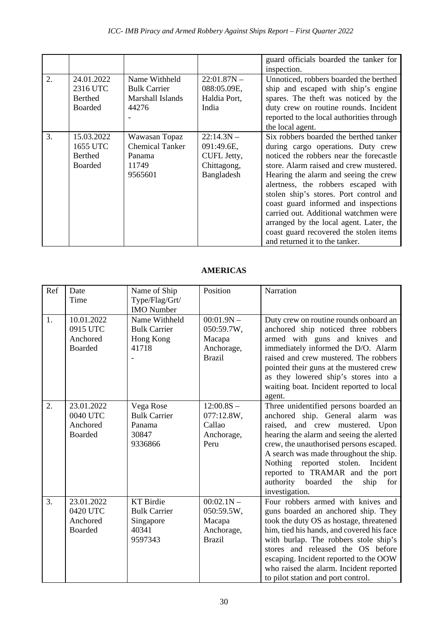|    |                                                            |                                                                       |                                                                        | guard officials boarded the tanker for<br>inspection.                                                                                                                                                                                                                                                                                                                                                                                                                                               |
|----|------------------------------------------------------------|-----------------------------------------------------------------------|------------------------------------------------------------------------|-----------------------------------------------------------------------------------------------------------------------------------------------------------------------------------------------------------------------------------------------------------------------------------------------------------------------------------------------------------------------------------------------------------------------------------------------------------------------------------------------------|
| 2. | 24.01.2022<br>2316 UTC<br><b>Berthed</b><br><b>Boarded</b> | Name Withheld<br><b>Bulk Carrier</b><br>Marshall Islands<br>44276     | $22:01.87N -$<br>088:05.09E,<br>Haldia Port,<br>India                  | Unnoticed, robbers boarded the berthed<br>ship and escaped with ship's engine<br>spares. The theft was noticed by the<br>duty crew on routine rounds. Incident<br>reported to the local authorities through<br>the local agent.                                                                                                                                                                                                                                                                     |
| 3. | 15.03.2022<br>1655 UTC<br><b>Berthed</b><br><b>Boarded</b> | Wawasan Topaz<br><b>Chemical Tanker</b><br>Panama<br>11749<br>9565601 | $22:14.3N -$<br>091:49.6E,<br>CUFL Jetty,<br>Chittagong,<br>Bangladesh | Six robbers boarded the berthed tanker<br>during cargo operations. Duty crew<br>noticed the robbers near the forecastle<br>store. Alarm raised and crew mustered.<br>Hearing the alarm and seeing the crew<br>alertness, the robbers escaped with<br>stolen ship's stores. Port control and<br>coast guard informed and inspections<br>carried out. Additional watchmen were<br>arranged by the local agent. Later, the<br>coast guard recovered the stolen items<br>and returned it to the tanker. |

## **AMERICAS**

| Ref | Date<br>Time                                         | Name of Ship<br>Type/Flag/Grt/<br><b>IMO</b> Number                      | Position                                                            | Narration                                                                                                                                                                                                                                                                                                                                                                                |
|-----|------------------------------------------------------|--------------------------------------------------------------------------|---------------------------------------------------------------------|------------------------------------------------------------------------------------------------------------------------------------------------------------------------------------------------------------------------------------------------------------------------------------------------------------------------------------------------------------------------------------------|
| 1.  | 10.01.2022<br>0915 UTC<br>Anchored<br>Boarded        | Name Withheld<br><b>Bulk Carrier</b><br>Hong Kong<br>41718               | $00:01.9N -$<br>050:59.7W,<br>Macapa<br>Anchorage,<br><b>Brazil</b> | Duty crew on routine rounds onboard an<br>anchored ship noticed three robbers<br>armed with guns and knives and<br>immediately informed the D/O. Alarm<br>raised and crew mustered. The robbers<br>pointed their guns at the mustered crew<br>as they lowered ship's stores into a<br>waiting boat. Incident reported to local<br>agent.                                                 |
| 2.  | 23.01.2022<br>0040 UTC<br>Anchored<br>Boarded        | Vega Rose<br><b>Bulk Carrier</b><br>Panama<br>30847<br>9336866           | $12:00.8S -$<br>077:12.8W,<br>Callao<br>Anchorage,<br>Peru          | Three unidentified persons boarded an<br>anchored ship. General alarm was<br>raised, and crew mustered. Upon<br>hearing the alarm and seeing the alerted<br>crew, the unauthorised persons escaped.<br>A search was made throughout the ship.<br>Nothing reported stolen.<br>Incident<br>reported to TRAMAR and the port<br>authority<br>boarded<br>the<br>ship<br>for<br>investigation. |
| 3.  | 23.01.2022<br>0420 UTC<br>Anchored<br><b>Boarded</b> | <b>KT</b> Birdie<br><b>Bulk Carrier</b><br>Singapore<br>40341<br>9597343 | $00:02.1N -$<br>050:59.5W,<br>Macapa<br>Anchorage,<br><b>Brazil</b> | Four robbers armed with knives and<br>guns boarded an anchored ship. They<br>took the duty OS as hostage, threatened<br>him, tied his hands, and covered his face<br>with burlap. The robbers stole ship's<br>stores and released the OS before<br>escaping. Incident reported to the OOW<br>who raised the alarm. Incident reported<br>to pilot station and port control.               |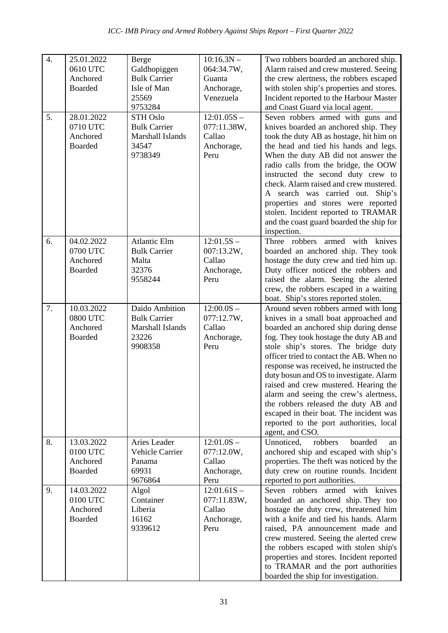| $\overline{4}$ . | 25.01.2022<br>0610 UTC<br>Anchored<br><b>Boarded</b> | Berge<br>Galdhopiggen<br><b>Bulk Carrier</b><br>Isle of Man<br>25569<br>9753284 | $10:16.3N -$<br>064:34.7W,<br>Guanta<br>Anchorage,<br>Venezuela | Two robbers boarded an anchored ship.<br>Alarm raised and crew mustered. Seeing<br>the crew alertness, the robbers escaped<br>with stolen ship's properties and stores.<br>Incident reported to the Harbour Master<br>and Coast Guard via local agent.                                                                                                                                                                                                                                                                                                                          |
|------------------|------------------------------------------------------|---------------------------------------------------------------------------------|-----------------------------------------------------------------|---------------------------------------------------------------------------------------------------------------------------------------------------------------------------------------------------------------------------------------------------------------------------------------------------------------------------------------------------------------------------------------------------------------------------------------------------------------------------------------------------------------------------------------------------------------------------------|
| 5.               | 28.01.2022<br>0710 UTC<br>Anchored<br><b>Boarded</b> | <b>STH Oslo</b><br><b>Bulk Carrier</b><br>Marshall Islands<br>34547<br>9738349  | $12:01.05S -$<br>077:11.38W,<br>Callao<br>Anchorage,<br>Peru    | Seven robbers armed with guns and<br>knives boarded an anchored ship. They<br>took the duty AB as hostage, hit him on<br>the head and tied his hands and legs.<br>When the duty AB did not answer the<br>radio calls from the bridge, the OOW<br>instructed the second duty crew to<br>check. Alarm raised and crew mustered.<br>A search was carried out. Ship's<br>properties and stores were reported<br>stolen. Incident reported to TRAMAR<br>and the coast guard boarded the ship for<br>inspection.                                                                      |
| 6.               | 04.02.2022<br>0700 UTC<br>Anchored<br><b>Boarded</b> | <b>Atlantic Elm</b><br><b>Bulk Carrier</b><br>Malta<br>32376<br>9558244         | $12:01.5S -$<br>007:13.2W,<br>Callao<br>Anchorage,<br>Peru      | Three robbers<br>armed<br>with knives<br>boarded an anchored ship. They took<br>hostage the duty crew and tied him up.<br>Duty officer noticed the robbers and<br>raised the alarm. Seeing the alerted<br>crew, the robbers escaped in a waiting<br>boat. Ship's stores reported stolen.                                                                                                                                                                                                                                                                                        |
| 7.               | 10.03.2022<br>0800 UTC<br>Anchored<br><b>Boarded</b> | Daido Ambition<br><b>Bulk Carrier</b><br>Marshall Islands<br>23226<br>9908358   | $12:00.0S -$<br>077:12.7W,<br>Callao<br>Anchorage,<br>Peru      | Around seven robbers armed with long<br>knives in a small boat approached and<br>boarded an anchored ship during dense<br>fog. They took hostage the duty AB and<br>stole ship's stores. The bridge duty<br>officer tried to contact the AB. When no<br>response was received, he instructed the<br>duty bosun and OS to investigate. Alarm<br>raised and crew mustered. Hearing the<br>alarm and seeing the crew's alertness,<br>the robbers released the duty AB and<br>escaped in their boat. The incident was<br>reported to the port authorities, local<br>agent, and CSO. |
| 8.               | 13.03.2022<br>0100 UTC<br>Anchored<br>Boarded        | Aries Leader<br>Vehicle Carrier<br>Panama<br>69931<br>9676864                   | $12:01.0S -$<br>077:12.0W,<br>Callao<br>Anchorage,<br>Peru      | Unnoticed,<br>robbers<br>boarded<br>an<br>anchored ship and escaped with ship's<br>properties. The theft was noticed by the<br>duty crew on routine rounds. Incident<br>reported to port authorities.                                                                                                                                                                                                                                                                                                                                                                           |
| 9.               | 14.03.2022<br>0100 UTC<br>Anchored<br>Boarded        | Algol<br>Container<br>Liberia<br>16162<br>9339612                               | $12:01.61S -$<br>077:11.83W,<br>Callao<br>Anchorage,<br>Peru    | Seven robbers<br>armed with knives<br>boarded an anchored ship. They too<br>hostage the duty crew, threatened him<br>with a knife and tied his hands. Alarm<br>raised, PA announcement made and<br>crew mustered. Seeing the alerted crew<br>the robbers escaped with stolen ship's<br>properties and stores. Incident reported<br>to TRAMAR and the port authorities<br>boarded the ship for investigation.                                                                                                                                                                    |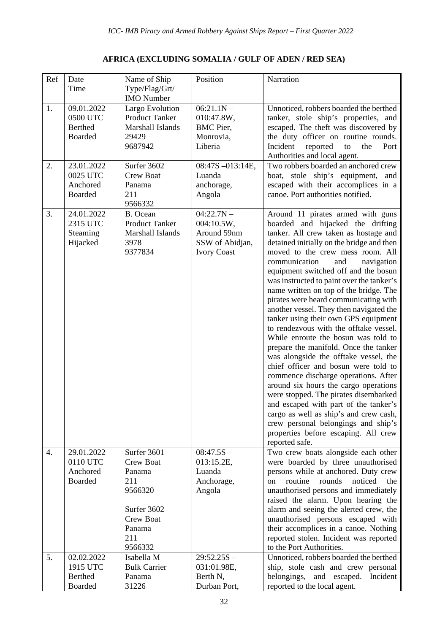## **AFRICA (EXCLUDING SOMALIA / GULF OF ADEN / RED SEA)**

| Ref | Date                                                 | Name of Ship                                                                     | Position                                                                           | Narration                                                                                                                                                                                                                                                                                                                                                                                                                                                                                                                                                                                                                                                                                                                                                                                                                                                                                                                                                                                                                  |
|-----|------------------------------------------------------|----------------------------------------------------------------------------------|------------------------------------------------------------------------------------|----------------------------------------------------------------------------------------------------------------------------------------------------------------------------------------------------------------------------------------------------------------------------------------------------------------------------------------------------------------------------------------------------------------------------------------------------------------------------------------------------------------------------------------------------------------------------------------------------------------------------------------------------------------------------------------------------------------------------------------------------------------------------------------------------------------------------------------------------------------------------------------------------------------------------------------------------------------------------------------------------------------------------|
|     | Time                                                 | Type/Flag/Grt/<br><b>IMO</b> Number                                              |                                                                                    |                                                                                                                                                                                                                                                                                                                                                                                                                                                                                                                                                                                                                                                                                                                                                                                                                                                                                                                                                                                                                            |
| 1.  | 09.01.2022<br>0500 UTC<br><b>Berthed</b><br>Boarded  | Largo Evolution<br><b>Product Tanker</b><br>Marshall Islands<br>29429<br>9687942 | $06:21.1N -$<br>010:47.8W,<br><b>BMC</b> Pier,<br>Monrovia,<br>Liberia             | Unnoticed, robbers boarded the berthed<br>tanker, stole ship's properties, and<br>escaped. The theft was discovered by<br>the duty officer on routine rounds.<br>Incident<br>reported<br>the<br>Port<br>to<br>Authorities and local agent.                                                                                                                                                                                                                                                                                                                                                                                                                                                                                                                                                                                                                                                                                                                                                                                 |
| 2.  | 23.01.2022<br>0025 UTC<br>Anchored<br><b>Boarded</b> | Surfer 3602<br><b>Crew Boat</b><br>Panama<br>211<br>9566332                      | 08:47S-013:14E,<br>Luanda<br>anchorage,<br>Angola                                  | Two robbers boarded an anchored crew<br>boat, stole ship's equipment, and<br>escaped with their accomplices in a<br>canoe. Port authorities notified.                                                                                                                                                                                                                                                                                                                                                                                                                                                                                                                                                                                                                                                                                                                                                                                                                                                                      |
| 3.  | 24.01.2022<br>2315 UTC<br>Steaming<br>Hijacked       | B. Ocean<br><b>Product Tanker</b><br>Marshall Islands<br>3978<br>9377834         | $04:22.7N -$<br>004:10.5W,<br>Around 59nm<br>SSW of Abidjan,<br><b>Ivory Coast</b> | Around 11 pirates armed with guns<br>boarded and hijacked the drifting<br>tanker. All crew taken as hostage and<br>detained initially on the bridge and then<br>moved to the crew mess room. All<br>communication<br>and<br>navigation<br>equipment switched off and the bosun<br>was instructed to paint over the tanker's<br>name written on top of the bridge. The<br>pirates were heard communicating with<br>another vessel. They then navigated the<br>tanker using their own GPS equipment<br>to rendezvous with the offtake vessel.<br>While enroute the bosun was told to<br>prepare the manifold. Once the tanker<br>was alongside the offtake vessel, the<br>chief officer and bosun were told to<br>commence discharge operations. After<br>around six hours the cargo operations<br>were stopped. The pirates disembarked<br>and escaped with part of the tanker's<br>cargo as well as ship's and crew cash,<br>crew personal belongings and ship's<br>properties before escaping. All crew<br>reported safe. |
| 4.  | 29.01.2022<br>0110 UTC<br>Anchored<br><b>Boarded</b> | Surfer 3601<br><b>Crew Boat</b><br>Panama<br>211<br>9566320                      | $08:47.5S -$<br>013:15.2E,<br>Luanda<br>Anchorage,<br>Angola                       | Two crew boats alongside each other<br>were boarded by three unauthorised<br>persons while at anchored. Duty crew<br>routine<br>rounds<br>noticed<br>the<br><sub>on</sub><br>unauthorised persons and immediately                                                                                                                                                                                                                                                                                                                                                                                                                                                                                                                                                                                                                                                                                                                                                                                                          |
|     |                                                      | Surfer 3602<br><b>Crew Boat</b><br>Panama<br>211<br>9566332                      |                                                                                    | raised the alarm. Upon hearing the<br>alarm and seeing the alerted crew, the<br>unauthorised persons escaped with<br>their accomplices in a canoe. Nothing<br>reported stolen. Incident was reported<br>to the Port Authorities.                                                                                                                                                                                                                                                                                                                                                                                                                                                                                                                                                                                                                                                                                                                                                                                           |
| 5.  | 02.02.2022<br>1915 UTC<br><b>Berthed</b><br>Boarded  | Isabella M<br><b>Bulk Carrier</b><br>Panama<br>31226                             | $29:52.25S -$<br>031:01.98E,<br>Berth N,<br>Durban Port,                           | Unnoticed, robbers boarded the berthed<br>ship, stole cash and crew personal<br>Incident<br>belongings, and escaped.<br>reported to the local agent.                                                                                                                                                                                                                                                                                                                                                                                                                                                                                                                                                                                                                                                                                                                                                                                                                                                                       |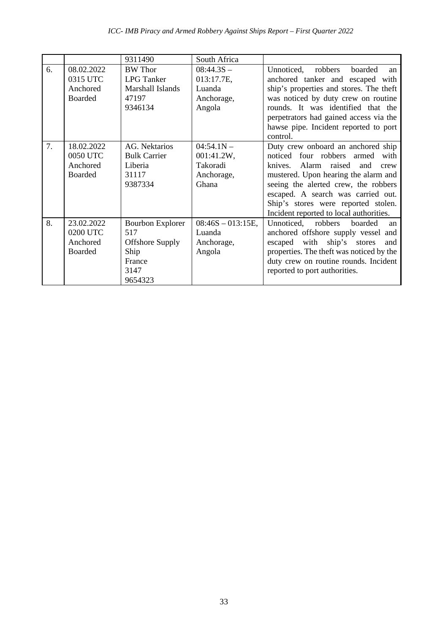|    |                                                      | 9311490                                                                                       | South Africa                                                  |                                                                                                                                                                                                                                                                                                                         |
|----|------------------------------------------------------|-----------------------------------------------------------------------------------------------|---------------------------------------------------------------|-------------------------------------------------------------------------------------------------------------------------------------------------------------------------------------------------------------------------------------------------------------------------------------------------------------------------|
| 6. | 08.02.2022<br>0315 UTC<br>Anchored<br><b>Boarded</b> | <b>BW</b> Thor<br><b>LPG</b> Tanker<br>Marshall Islands<br>47197<br>9346134                   | $08:44.3S -$<br>013:17.7E,<br>Luanda<br>Anchorage,<br>Angola  | Unnoticed,<br>boarded<br>robbers<br>an<br>anchored tanker and escaped with<br>ship's properties and stores. The theft<br>was noticed by duty crew on routine<br>rounds. It was identified that the<br>perpetrators had gained access via the<br>hawse pipe. Incident reported to port<br>control.                       |
| 7. | 18.02.2022<br>0050 UTC<br>Anchored<br><b>Boarded</b> | AG. Nektarios<br><b>Bulk Carrier</b><br>Liberia<br>31117<br>9387334                           | $04:54.1N -$<br>001:41.2W,<br>Takoradi<br>Anchorage,<br>Ghana | Duty crew onboard an anchored ship<br>noticed four robbers armed with<br>knives.<br>Alarm raised<br>and<br>crew<br>mustered. Upon hearing the alarm and<br>seeing the alerted crew, the robbers<br>escaped. A search was carried out.<br>Ship's stores were reported stolen.<br>Incident reported to local authorities. |
| 8. | 23.02.2022<br>0200 UTC<br>Anchored<br><b>Boarded</b> | <b>Bourbon Explorer</b><br>517<br><b>Offshore Supply</b><br>Ship<br>France<br>3147<br>9654323 | $08:46S - 013:15E$ ,<br>Luanda<br>Anchorage,<br>Angola        | Unnoticed, robbers<br>boarded<br>an<br>anchored offshore supply vessel and<br>ship's stores<br>escaped<br>with<br>and<br>properties. The theft was noticed by the<br>duty crew on routine rounds. Incident<br>reported to port authorities.                                                                             |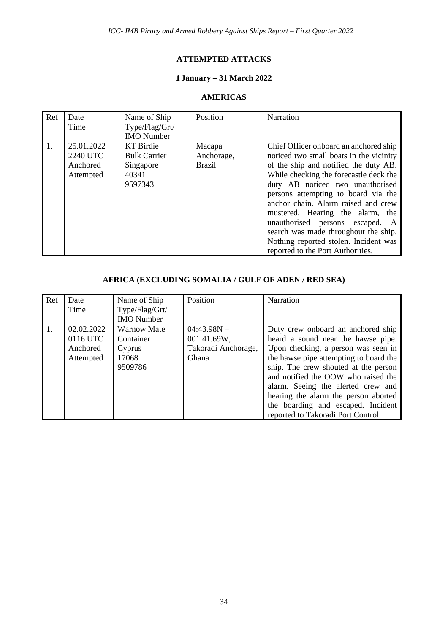#### **ATTEMPTED ATTACKS**

## **1 January – 31 March 2022**

#### **AMERICAS**

| Ref | Date<br>Time                                           | Name of Ship<br>Type/Flag/Grt/<br><b>IMO</b> Number               | Position                              | Narration                                                                                                                                                                                                                                                                                                                                                                                                                                                                              |
|-----|--------------------------------------------------------|-------------------------------------------------------------------|---------------------------------------|----------------------------------------------------------------------------------------------------------------------------------------------------------------------------------------------------------------------------------------------------------------------------------------------------------------------------------------------------------------------------------------------------------------------------------------------------------------------------------------|
|     | 25.01.2022<br><b>2240 UTC</b><br>Anchored<br>Attempted | KT Birdie<br><b>Bulk Carrier</b><br>Singapore<br>40341<br>9597343 | Macapa<br>Anchorage,<br><b>Brazil</b> | Chief Officer onboard an anchored ship<br>noticed two small boats in the vicinity<br>of the ship and notified the duty AB.<br>While checking the forecastle deck the<br>duty AB noticed two unauthorised<br>persons attempting to board via the<br>anchor chain. Alarm raised and crew<br>mustered. Hearing the alarm, the<br>unauthorised persons escaped.<br>A<br>search was made throughout the ship.<br>Nothing reported stolen. Incident was<br>reported to the Port Authorities. |

## **AFRICA (EXCLUDING SOMALIA / GULF OF ADEN / RED SEA)**

| Ref              | Date<br>Time                                    | Name of Ship<br>Type/Flag/Grt/<br><b>IMO</b> Number           | Position                                                            | Narration                                                                                                                                                                                                                                                                                                                                                                                          |
|------------------|-------------------------------------------------|---------------------------------------------------------------|---------------------------------------------------------------------|----------------------------------------------------------------------------------------------------------------------------------------------------------------------------------------------------------------------------------------------------------------------------------------------------------------------------------------------------------------------------------------------------|
| $\overline{1}$ . | 02.02.2022<br>0116 UTC<br>Anchored<br>Attempted | <b>Warnow Mate</b><br>Container<br>Cyprus<br>17068<br>9509786 | $04:43.98N -$<br>001:41.69W,<br>Takoradi Anchorage,<br><b>Ghana</b> | Duty crew onboard an anchored ship<br>heard a sound near the hawse pipe.<br>Upon checking, a person was seen in<br>the hawse pipe attempting to board the<br>ship. The crew shouted at the person<br>and notified the OOW who raised the<br>alarm. Seeing the alerted crew and<br>hearing the alarm the person aborted<br>the boarding and escaped. Incident<br>reported to Takoradi Port Control. |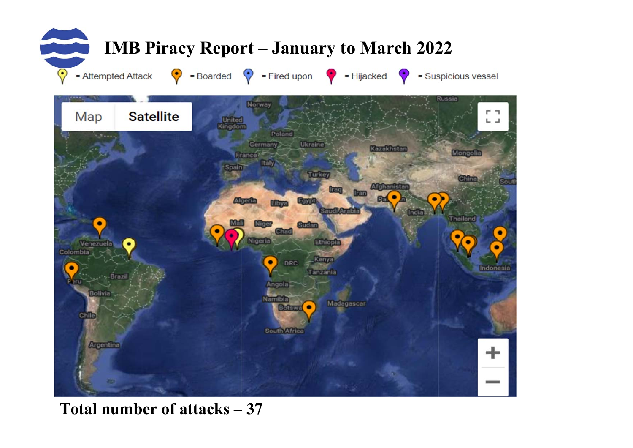

## **Total number of attacks – 37**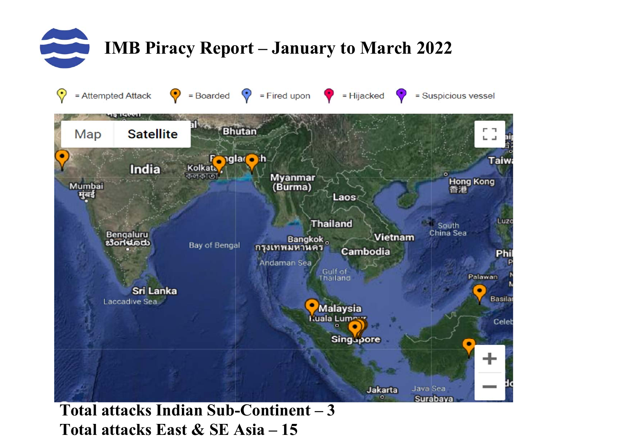

**Total attacks Indian Sub-Continent – 3 Total attacks East & SE Asia – 15**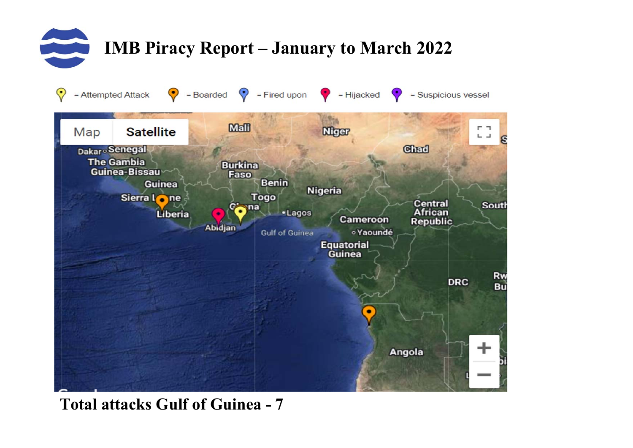



# **Total attacks Gulf of Guinea - 7**